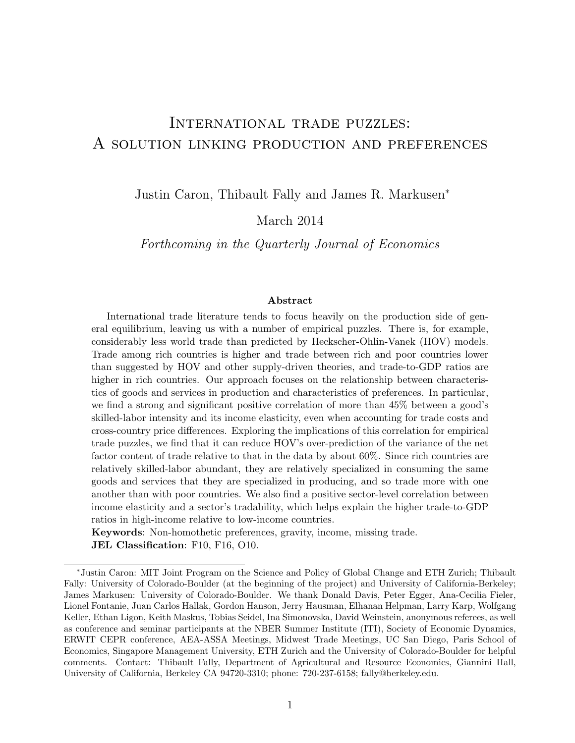# International trade puzzles: A solution linking production and preferences

Justin Caron, Thibault Fally and James R. Markusen<sup>∗</sup>

March 2014

Forthcoming in the Quarterly Journal of Economics

#### Abstract

International trade literature tends to focus heavily on the production side of general equilibrium, leaving us with a number of empirical puzzles. There is, for example, considerably less world trade than predicted by Heckscher-Ohlin-Vanek (HOV) models. Trade among rich countries is higher and trade between rich and poor countries lower than suggested by HOV and other supply-driven theories, and trade-to-GDP ratios are higher in rich countries. Our approach focuses on the relationship between characteristics of goods and services in production and characteristics of preferences. In particular, we find a strong and significant positive correlation of more than 45% between a good's skilled-labor intensity and its income elasticity, even when accounting for trade costs and cross-country price differences. Exploring the implications of this correlation for empirical trade puzzles, we find that it can reduce HOV's over-prediction of the variance of the net factor content of trade relative to that in the data by about 60%. Since rich countries are relatively skilled-labor abundant, they are relatively specialized in consuming the same goods and services that they are specialized in producing, and so trade more with one another than with poor countries. We also find a positive sector-level correlation between income elasticity and a sector's tradability, which helps explain the higher trade-to-GDP ratios in high-income relative to low-income countries.

Keywords: Non-homothetic preferences, gravity, income, missing trade. JEL Classification: F10, F16, O10.

<sup>∗</sup>Justin Caron: MIT Joint Program on the Science and Policy of Global Change and ETH Zurich; Thibault Fally: University of Colorado-Boulder (at the beginning of the project) and University of California-Berkeley; James Markusen: University of Colorado-Boulder. We thank Donald Davis, Peter Egger, Ana-Cecilia Fieler, Lionel Fontanie, Juan Carlos Hallak, Gordon Hanson, Jerry Hausman, Elhanan Helpman, Larry Karp, Wolfgang Keller, Ethan Ligon, Keith Maskus, Tobias Seidel, Ina Simonovska, David Weinstein, anonymous referees, as well as conference and seminar participants at the NBER Summer Institute (ITI), Society of Economic Dynamics, ERWIT CEPR conference, AEA-ASSA Meetings, Midwest Trade Meetings, UC San Diego, Paris School of Economics, Singapore Management University, ETH Zurich and the University of Colorado-Boulder for helpful comments. Contact: Thibault Fally, Department of Agricultural and Resource Economics, Giannini Hall, University of California, Berkeley CA 94720-3310; phone: 720-237-6158; fally@berkeley.edu.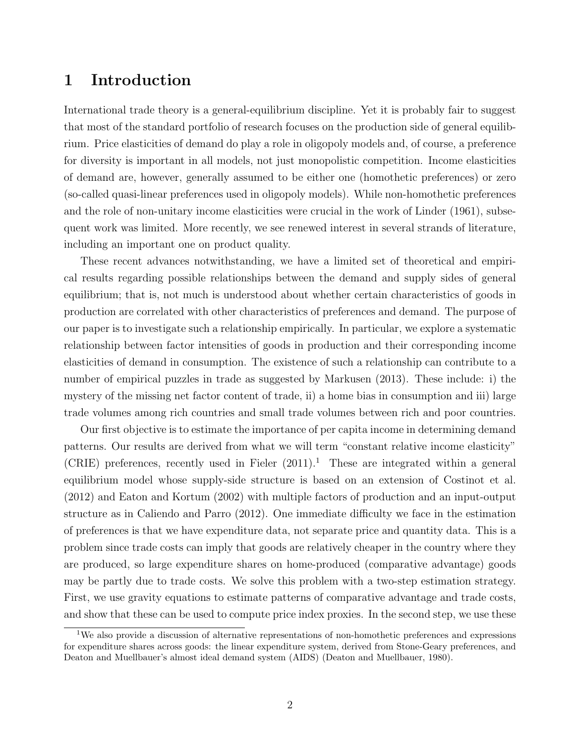## 1 Introduction

International trade theory is a general-equilibrium discipline. Yet it is probably fair to suggest that most of the standard portfolio of research focuses on the production side of general equilibrium. Price elasticities of demand do play a role in oligopoly models and, of course, a preference for diversity is important in all models, not just monopolistic competition. Income elasticities of demand are, however, generally assumed to be either one (homothetic preferences) or zero (so-called quasi-linear preferences used in oligopoly models). While non-homothetic preferences and the role of non-unitary income elasticities were crucial in the work of Linder (1961), subsequent work was limited. More recently, we see renewed interest in several strands of literature, including an important one on product quality.

These recent advances notwithstanding, we have a limited set of theoretical and empirical results regarding possible relationships between the demand and supply sides of general equilibrium; that is, not much is understood about whether certain characteristics of goods in production are correlated with other characteristics of preferences and demand. The purpose of our paper is to investigate such a relationship empirically. In particular, we explore a systematic relationship between factor intensities of goods in production and their corresponding income elasticities of demand in consumption. The existence of such a relationship can contribute to a number of empirical puzzles in trade as suggested by Markusen (2013). These include: i) the mystery of the missing net factor content of trade, ii) a home bias in consumption and iii) large trade volumes among rich countries and small trade volumes between rich and poor countries.

Our first objective is to estimate the importance of per capita income in determining demand patterns. Our results are derived from what we will term "constant relative income elasticity" (CRIE) preferences, recently used in Fieler  $(2011).$ <sup>1</sup> These are integrated within a general equilibrium model whose supply-side structure is based on an extension of Costinot et al. (2012) and Eaton and Kortum (2002) with multiple factors of production and an input-output structure as in Caliendo and Parro (2012). One immediate difficulty we face in the estimation of preferences is that we have expenditure data, not separate price and quantity data. This is a problem since trade costs can imply that goods are relatively cheaper in the country where they are produced, so large expenditure shares on home-produced (comparative advantage) goods may be partly due to trade costs. We solve this problem with a two-step estimation strategy. First, we use gravity equations to estimate patterns of comparative advantage and trade costs, and show that these can be used to compute price index proxies. In the second step, we use these

<sup>1</sup>We also provide a discussion of alternative representations of non-homothetic preferences and expressions for expenditure shares across goods: the linear expenditure system, derived from Stone-Geary preferences, and Deaton and Muellbauer's almost ideal demand system (AIDS) (Deaton and Muellbauer, 1980).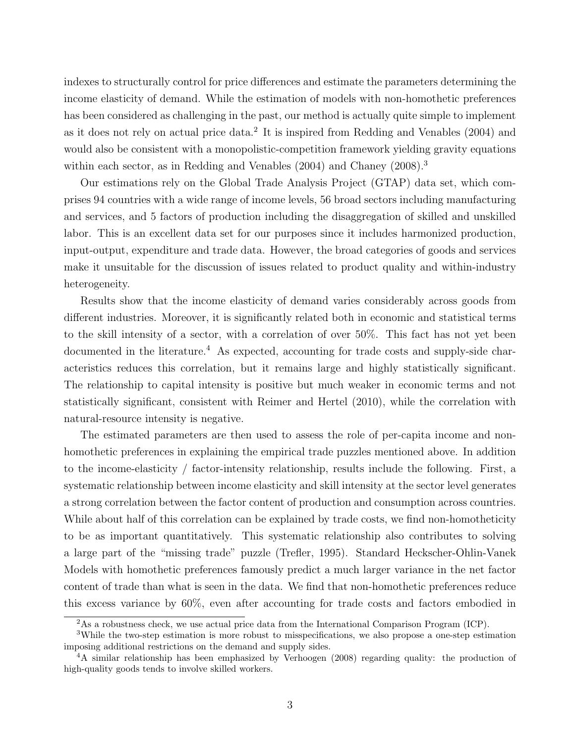indexes to structurally control for price differences and estimate the parameters determining the income elasticity of demand. While the estimation of models with non-homothetic preferences has been considered as challenging in the past, our method is actually quite simple to implement as it does not rely on actual price data.<sup>2</sup> It is inspired from Redding and Venables  $(2004)$  and would also be consistent with a monopolistic-competition framework yielding gravity equations within each sector, as in Redding and Venables (2004) and Chaney (2008).<sup>3</sup>

Our estimations rely on the Global Trade Analysis Project (GTAP) data set, which comprises 94 countries with a wide range of income levels, 56 broad sectors including manufacturing and services, and 5 factors of production including the disaggregation of skilled and unskilled labor. This is an excellent data set for our purposes since it includes harmonized production, input-output, expenditure and trade data. However, the broad categories of goods and services make it unsuitable for the discussion of issues related to product quality and within-industry heterogeneity.

Results show that the income elasticity of demand varies considerably across goods from different industries. Moreover, it is significantly related both in economic and statistical terms to the skill intensity of a sector, with a correlation of over 50%. This fact has not yet been documented in the literature.<sup>4</sup> As expected, accounting for trade costs and supply-side characteristics reduces this correlation, but it remains large and highly statistically significant. The relationship to capital intensity is positive but much weaker in economic terms and not statistically significant, consistent with Reimer and Hertel (2010), while the correlation with natural-resource intensity is negative.

The estimated parameters are then used to assess the role of per-capita income and nonhomothetic preferences in explaining the empirical trade puzzles mentioned above. In addition to the income-elasticity / factor-intensity relationship, results include the following. First, a systematic relationship between income elasticity and skill intensity at the sector level generates a strong correlation between the factor content of production and consumption across countries. While about half of this correlation can be explained by trade costs, we find non-homotheticity to be as important quantitatively. This systematic relationship also contributes to solving a large part of the "missing trade" puzzle (Trefler, 1995). Standard Heckscher-Ohlin-Vanek Models with homothetic preferences famously predict a much larger variance in the net factor content of trade than what is seen in the data. We find that non-homothetic preferences reduce this excess variance by 60%, even after accounting for trade costs and factors embodied in

<sup>&</sup>lt;sup>2</sup>As a robustness check, we use actual price data from the International Comparison Program (ICP).

<sup>3</sup>While the two-step estimation is more robust to misspecifications, we also propose a one-step estimation imposing additional restrictions on the demand and supply sides.

<sup>4</sup>A similar relationship has been emphasized by Verhoogen (2008) regarding quality: the production of high-quality goods tends to involve skilled workers.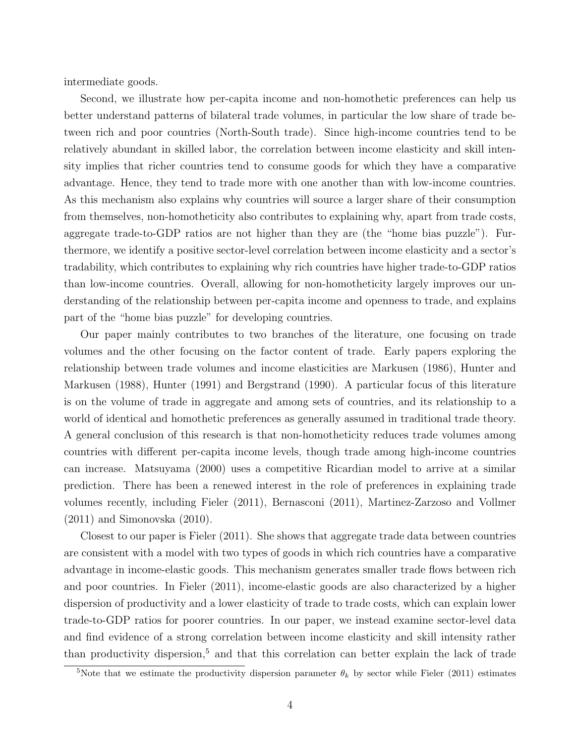intermediate goods.

Second, we illustrate how per-capita income and non-homothetic preferences can help us better understand patterns of bilateral trade volumes, in particular the low share of trade between rich and poor countries (North-South trade). Since high-income countries tend to be relatively abundant in skilled labor, the correlation between income elasticity and skill intensity implies that richer countries tend to consume goods for which they have a comparative advantage. Hence, they tend to trade more with one another than with low-income countries. As this mechanism also explains why countries will source a larger share of their consumption from themselves, non-homotheticity also contributes to explaining why, apart from trade costs, aggregate trade-to-GDP ratios are not higher than they are (the "home bias puzzle"). Furthermore, we identify a positive sector-level correlation between income elasticity and a sector's tradability, which contributes to explaining why rich countries have higher trade-to-GDP ratios than low-income countries. Overall, allowing for non-homotheticity largely improves our understanding of the relationship between per-capita income and openness to trade, and explains part of the "home bias puzzle" for developing countries.

Our paper mainly contributes to two branches of the literature, one focusing on trade volumes and the other focusing on the factor content of trade. Early papers exploring the relationship between trade volumes and income elasticities are Markusen (1986), Hunter and Markusen (1988), Hunter (1991) and Bergstrand (1990). A particular focus of this literature is on the volume of trade in aggregate and among sets of countries, and its relationship to a world of identical and homothetic preferences as generally assumed in traditional trade theory. A general conclusion of this research is that non-homotheticity reduces trade volumes among countries with different per-capita income levels, though trade among high-income countries can increase. Matsuyama (2000) uses a competitive Ricardian model to arrive at a similar prediction. There has been a renewed interest in the role of preferences in explaining trade volumes recently, including Fieler (2011), Bernasconi (2011), Martinez-Zarzoso and Vollmer (2011) and Simonovska (2010).

Closest to our paper is Fieler (2011). She shows that aggregate trade data between countries are consistent with a model with two types of goods in which rich countries have a comparative advantage in income-elastic goods. This mechanism generates smaller trade flows between rich and poor countries. In Fieler (2011), income-elastic goods are also characterized by a higher dispersion of productivity and a lower elasticity of trade to trade costs, which can explain lower trade-to-GDP ratios for poorer countries. In our paper, we instead examine sector-level data and find evidence of a strong correlation between income elasticity and skill intensity rather than productivity dispersion,<sup>5</sup> and that this correlation can better explain the lack of trade

<sup>&</sup>lt;sup>5</sup>Note that we estimate the productivity dispersion parameter  $\theta_k$  by sector while Fieler (2011) estimates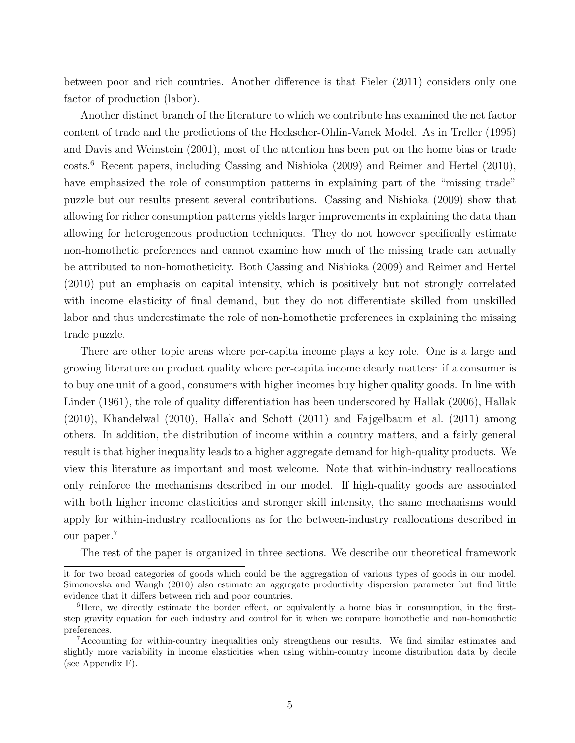between poor and rich countries. Another difference is that Fieler (2011) considers only one factor of production (labor).

Another distinct branch of the literature to which we contribute has examined the net factor content of trade and the predictions of the Heckscher-Ohlin-Vanek Model. As in Trefler (1995) and Davis and Weinstein (2001), most of the attention has been put on the home bias or trade costs.<sup>6</sup> Recent papers, including Cassing and Nishioka (2009) and Reimer and Hertel (2010), have emphasized the role of consumption patterns in explaining part of the "missing trade" puzzle but our results present several contributions. Cassing and Nishioka (2009) show that allowing for richer consumption patterns yields larger improvements in explaining the data than allowing for heterogeneous production techniques. They do not however specifically estimate non-homothetic preferences and cannot examine how much of the missing trade can actually be attributed to non-homotheticity. Both Cassing and Nishioka (2009) and Reimer and Hertel (2010) put an emphasis on capital intensity, which is positively but not strongly correlated with income elasticity of final demand, but they do not differentiate skilled from unskilled labor and thus underestimate the role of non-homothetic preferences in explaining the missing trade puzzle.

There are other topic areas where per-capita income plays a key role. One is a large and growing literature on product quality where per-capita income clearly matters: if a consumer is to buy one unit of a good, consumers with higher incomes buy higher quality goods. In line with Linder (1961), the role of quality differentiation has been underscored by Hallak (2006), Hallak (2010), Khandelwal (2010), Hallak and Schott (2011) and Fajgelbaum et al. (2011) among others. In addition, the distribution of income within a country matters, and a fairly general result is that higher inequality leads to a higher aggregate demand for high-quality products. We view this literature as important and most welcome. Note that within-industry reallocations only reinforce the mechanisms described in our model. If high-quality goods are associated with both higher income elasticities and stronger skill intensity, the same mechanisms would apply for within-industry reallocations as for the between-industry reallocations described in our paper.<sup>7</sup>

The rest of the paper is organized in three sections. We describe our theoretical framework

it for two broad categories of goods which could be the aggregation of various types of goods in our model. Simonovska and Waugh (2010) also estimate an aggregate productivity dispersion parameter but find little evidence that it differs between rich and poor countries.

<sup>&</sup>lt;sup>6</sup>Here, we directly estimate the border effect, or equivalently a home bias in consumption, in the firststep gravity equation for each industry and control for it when we compare homothetic and non-homothetic preferences.

<sup>7</sup>Accounting for within-country inequalities only strengthens our results. We find similar estimates and slightly more variability in income elasticities when using within-country income distribution data by decile (see Appendix F).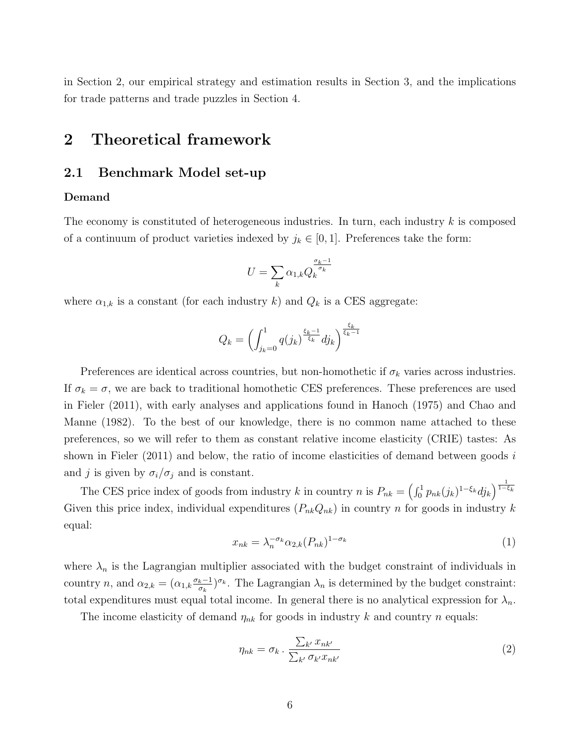in Section 2, our empirical strategy and estimation results in Section 3, and the implications for trade patterns and trade puzzles in Section 4.

## 2 Theoretical framework

## 2.1 Benchmark Model set-up

#### Demand

The economy is constituted of heterogeneous industries. In turn, each industry  $k$  is composed of a continuum of product varieties indexed by  $j_k \in [0, 1]$ . Preferences take the form:

$$
U=\sum_k \alpha_{1,k} Q_k^{\frac{\sigma_k-1}{\sigma_k}}
$$

where  $\alpha_{1,k}$  is a constant (for each industry k) and  $Q_k$  is a CES aggregate:

$$
Q_k = \left(\int_{j_k=0}^1 q(j_k)^{\frac{\xi_k-1}{\xi_k}} dj_k\right)^{\frac{\xi_k}{\xi_k-1}}
$$

Preferences are identical across countries, but non-homothetic if  $\sigma_k$  varies across industries. If  $\sigma_k = \sigma$ , we are back to traditional homothetic CES preferences. These preferences are used in Fieler (2011), with early analyses and applications found in Hanoch (1975) and Chao and Manne (1982). To the best of our knowledge, there is no common name attached to these preferences, so we will refer to them as constant relative income elasticity (CRIE) tastes: As shown in Fieler  $(2011)$  and below, the ratio of income elasticities of demand between goods i and j is given by  $\sigma_i/\sigma_j$  and is constant.

The CES price index of goods from industry k in country n is  $P_{nk} = \left(\int_0^1 p_{nk}(j_k)^{1-\xi_k} dj_k\right)^{\frac{1}{1-\xi_k}}$ Given this price index, individual expenditures  $(P_{nk}Q_{nk})$  in country n for goods in industry k equal:

$$
x_{nk} = \lambda_n^{-\sigma_k} \alpha_{2,k} (P_{nk})^{1-\sigma_k} \tag{1}
$$

where  $\lambda_n$  is the Lagrangian multiplier associated with the budget constraint of individuals in country *n*, and  $\alpha_{2,k} = (\alpha_{1,k} \frac{\sigma_k - 1}{\sigma_k})$  $\frac{k-1}{\sigma_k}$ , The Lagrangian  $\lambda_n$  is determined by the budget constraint: total expenditures must equal total income. In general there is no analytical expression for  $\lambda_n$ .

The income elasticity of demand  $\eta_{nk}$  for goods in industry k and country n equals:

$$
\eta_{nk} = \sigma_k \cdot \frac{\sum_{k'} x_{nk'}}{\sum_{k'} \sigma_{k'} x_{nk'}} \tag{2}
$$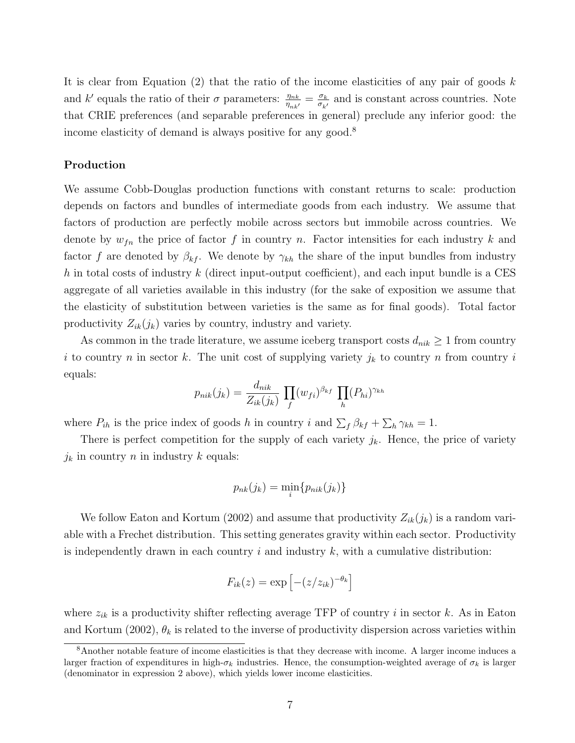It is clear from Equation (2) that the ratio of the income elasticities of any pair of goods  $k$ and k' equals the ratio of their  $\sigma$  parameters:  $\frac{\eta_{nk}}{\eta_{nk'}} = \frac{\sigma_k}{\sigma_{k'}}$  $\frac{\sigma_k}{\sigma_{k'}}$  and is constant across countries. Note that CRIE preferences (and separable preferences in general) preclude any inferior good: the income elasticity of demand is always positive for any good.<sup>8</sup>

#### Production

We assume Cobb-Douglas production functions with constant returns to scale: production depends on factors and bundles of intermediate goods from each industry. We assume that factors of production are perfectly mobile across sectors but immobile across countries. We denote by  $w_{fn}$  the price of factor f in country n. Factor intensities for each industry k and factor f are denoted by  $\beta_{kf}$ . We denote by  $\gamma_{kh}$  the share of the input bundles from industry h in total costs of industry  $k$  (direct input-output coefficient), and each input bundle is a CES aggregate of all varieties available in this industry (for the sake of exposition we assume that the elasticity of substitution between varieties is the same as for final goods). Total factor productivity  $Z_{ik}(j_k)$  varies by country, industry and variety.

As common in the trade literature, we assume iceberg transport costs  $d_{nik} \geq 1$  from country i to country n in sector k. The unit cost of supplying variety  $j_k$  to country n from country i equals:

$$
p_{nik}(j_k) = \frac{d_{nik}}{Z_{ik}(j_k)} \prod_f (w_{fi})^{\beta_{kf}} \prod_h (P_{hi})^{\gamma_{kh}}
$$

where  $P_{ih}$  is the price index of goods h in country i and  $\sum_f \beta_{kf} + \sum_h \gamma_{kh} = 1$ .

There is perfect competition for the supply of each variety  $j_k$ . Hence, the price of variety  $j_k$  in country n in industry k equals:

$$
p_{nk}(j_k) = \min_i \{p_{nik}(j_k)\}
$$

We follow Eaton and Kortum (2002) and assume that productivity  $Z_{ik}(j_k)$  is a random variable with a Frechet distribution. This setting generates gravity within each sector. Productivity is independently drawn in each country  $i$  and industry  $k$ , with a cumulative distribution:

$$
F_{ik}(z) = \exp\left[-(z/z_{ik})^{-\theta_k}\right]
$$

where  $z_{ik}$  is a productivity shifter reflecting average TFP of country i in sector k. As in Eaton and Kortum (2002),  $\theta_k$  is related to the inverse of productivity dispersion across varieties within

<sup>8</sup>Another notable feature of income elasticities is that they decrease with income. A larger income induces a larger fraction of expenditures in high- $\sigma_k$  industries. Hence, the consumption-weighted average of  $\sigma_k$  is larger (denominator in expression 2 above), which yields lower income elasticities.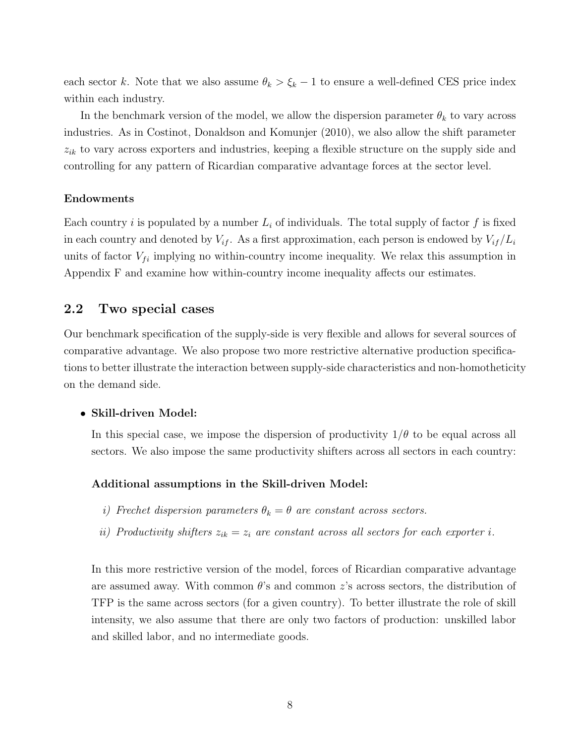each sector k. Note that we also assume  $\theta_k > \xi_k - 1$  to ensure a well-defined CES price index within each industry.

In the benchmark version of the model, we allow the dispersion parameter  $\theta_k$  to vary across industries. As in Costinot, Donaldson and Komunjer (2010), we also allow the shift parameter  $z_{ik}$  to vary across exporters and industries, keeping a flexible structure on the supply side and controlling for any pattern of Ricardian comparative advantage forces at the sector level.

#### Endowments

Each country i is populated by a number  $L_i$  of individuals. The total supply of factor f is fixed in each country and denoted by  $V_{if}$ . As a first approximation, each person is endowed by  $V_{if}/L_i$ units of factor  $V_{fi}$  implying no within-country income inequality. We relax this assumption in Appendix F and examine how within-country income inequality affects our estimates.

## 2.2 Two special cases

Our benchmark specification of the supply-side is very flexible and allows for several sources of comparative advantage. We also propose two more restrictive alternative production specifications to better illustrate the interaction between supply-side characteristics and non-homotheticity on the demand side.

#### • Skill-driven Model:

In this special case, we impose the dispersion of productivity  $1/\theta$  to be equal across all sectors. We also impose the same productivity shifters across all sectors in each country:

#### Additional assumptions in the Skill-driven Model:

- i) Frechet dispersion parameters  $\theta_k = \theta$  are constant across sectors.
- ii) Productivity shifters  $z_{ik} = z_i$  are constant across all sectors for each exporter i.

In this more restrictive version of the model, forces of Ricardian comparative advantage are assumed away. With common  $\theta$ 's and common z's across sectors, the distribution of TFP is the same across sectors (for a given country). To better illustrate the role of skill intensity, we also assume that there are only two factors of production: unskilled labor and skilled labor, and no intermediate goods.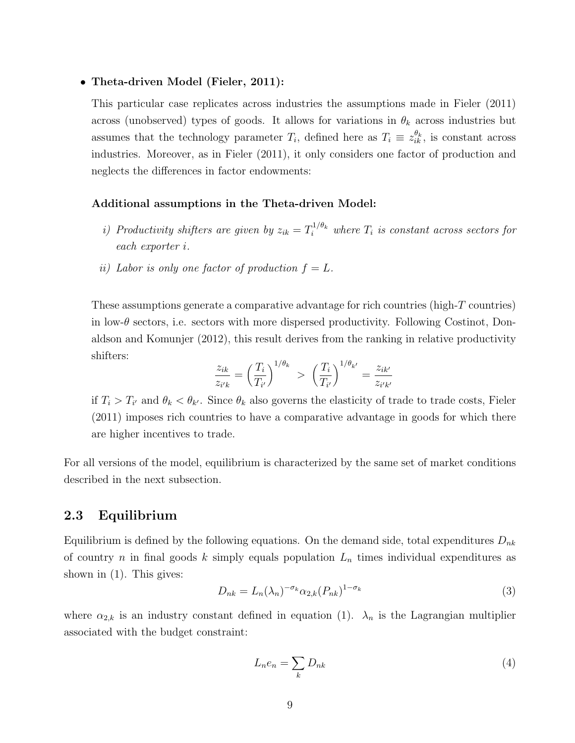#### • Theta-driven Model (Fieler, 2011):

This particular case replicates across industries the assumptions made in Fieler (2011) across (unobserved) types of goods. It allows for variations in  $\theta_k$  across industries but assumes that the technology parameter  $T_i$ , defined here as  $T_i \equiv z_{ik}^{\theta_k}$ , is constant across industries. Moreover, as in Fieler (2011), it only considers one factor of production and neglects the differences in factor endowments:

#### Additional assumptions in the Theta-driven Model:

- i) Productivity shifters are given by  $z_{ik} = T_i^{1/\theta_k}$  where  $T_i$  is constant across sectors for each exporter i.
- ii) Labor is only one factor of production  $f = L$ .

These assumptions generate a comparative advantage for rich countries (high-T countries) in low- $\theta$  sectors, i.e. sectors with more dispersed productivity. Following Costinot, Donaldson and Komunjer (2012), this result derives from the ranking in relative productivity shifters:

$$
\frac{z_{ik}}{z_{i'k}} = \left(\frac{T_i}{T_{i'}}\right)^{1/\theta_k} > \left(\frac{T_i}{T_{i'}}\right)^{1/\theta_{k'}} = \frac{z_{ik'}}{z_{i'k'}}
$$

if  $T_i > T_{i'}$  and  $\theta_k < \theta_{k'}$ . Since  $\theta_k$  also governs the elasticity of trade to trade costs, Fieler (2011) imposes rich countries to have a comparative advantage in goods for which there are higher incentives to trade.

For all versions of the model, equilibrium is characterized by the same set of market conditions described in the next subsection.

## 2.3 Equilibrium

Equilibrium is defined by the following equations. On the demand side, total expenditures  $D_{nk}$ of country n in final goods k simply equals population  $L_n$  times individual expenditures as shown in (1). This gives:

$$
D_{nk} = L_n(\lambda_n)^{-\sigma_k} \alpha_{2,k} (P_{nk})^{1-\sigma_k} \tag{3}
$$

where  $\alpha_{2,k}$  is an industry constant defined in equation (1).  $\lambda_n$  is the Lagrangian multiplier associated with the budget constraint:

$$
L_n e_n = \sum_k D_{nk} \tag{4}
$$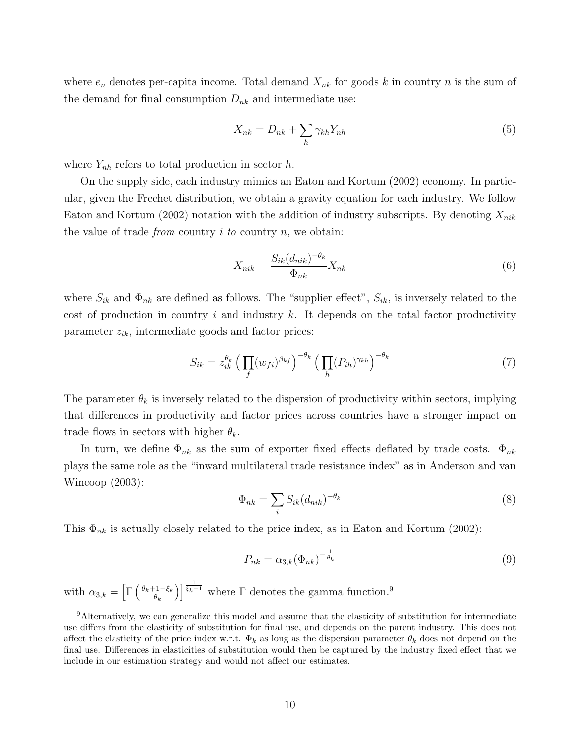where  $e_n$  denotes per-capita income. Total demand  $X_{nk}$  for goods k in country n is the sum of the demand for final consumption  $D_{nk}$  and intermediate use:

$$
X_{nk} = D_{nk} + \sum_{h} \gamma_{kh} Y_{nh}
$$
\n<sup>(5)</sup>

where  $Y_{nh}$  refers to total production in sector h.

On the supply side, each industry mimics an Eaton and Kortum (2002) economy. In particular, given the Frechet distribution, we obtain a gravity equation for each industry. We follow Eaton and Kortum (2002) notation with the addition of industry subscripts. By denoting  $X_{nik}$ the value of trade *from* country  $i$  to country  $n$ , we obtain:

$$
X_{nik} = \frac{S_{ik}(d_{nik})^{-\theta_k}}{\Phi_{nk}} X_{nk}
$$
\n<sup>(6)</sup>

where  $S_{ik}$  and  $\Phi_{nk}$  are defined as follows. The "supplier effect",  $S_{ik}$ , is inversely related to the cost of production in country i and industry k. It depends on the total factor productivity parameter  $z_{ik}$ , intermediate goods and factor prices:

$$
S_{ik} = z_{ik}^{\theta_k} \left( \prod_f (w_{fi})^{\beta_{kf}} \right)^{-\theta_k} \left( \prod_h (P_{ih})^{\gamma_{kh}} \right)^{-\theta_k} \tag{7}
$$

The parameter  $\theta_k$  is inversely related to the dispersion of productivity within sectors, implying that differences in productivity and factor prices across countries have a stronger impact on trade flows in sectors with higher  $\theta_k$ .

In turn, we define  $\Phi_{nk}$  as the sum of exporter fixed effects deflated by trade costs.  $\Phi_{nk}$ plays the same role as the "inward multilateral trade resistance index" as in Anderson and van Wincoop (2003):

$$
\Phi_{nk} = \sum_{i} S_{ik} (d_{nik})^{-\theta_k} \tag{8}
$$

This  $\Phi_{nk}$  is actually closely related to the price index, as in Eaton and Kortum (2002):

$$
P_{nk} = \alpha_{3,k} (\Phi_{nk})^{-\frac{1}{\theta_k}} \tag{9}
$$

with  $\alpha_{3,k} = \left[ \Gamma \left( \frac{\theta_k + 1 - \xi_k}{\theta_k} \right) \right]$  $\theta_k$ )<sup> $\frac{1}{\xi_k-1}$ </sup> where  $\Gamma$  denotes the gamma function.<sup>9</sup>

<sup>9</sup>Alternatively, we can generalize this model and assume that the elasticity of substitution for intermediate use differs from the elasticity of substitution for final use, and depends on the parent industry. This does not affect the elasticity of the price index w.r.t.  $\Phi_k$  as long as the dispersion parameter  $\theta_k$  does not depend on the final use. Differences in elasticities of substitution would then be captured by the industry fixed effect that we include in our estimation strategy and would not affect our estimates.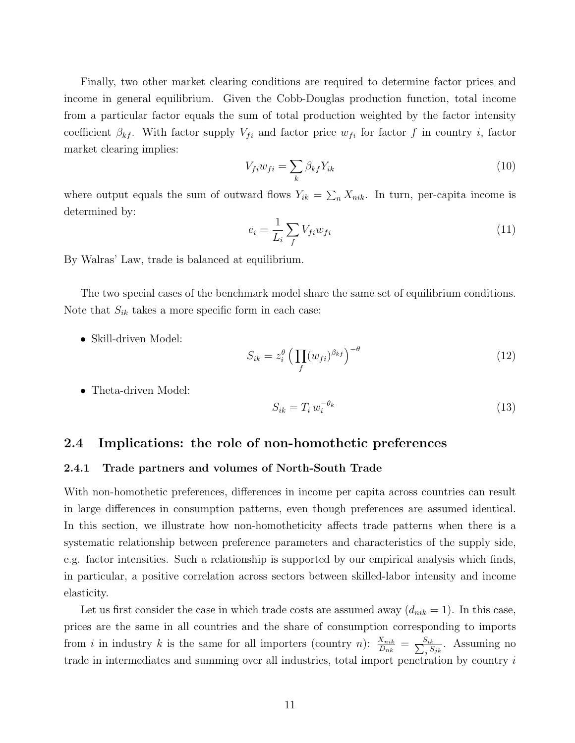Finally, two other market clearing conditions are required to determine factor prices and income in general equilibrium. Given the Cobb-Douglas production function, total income from a particular factor equals the sum of total production weighted by the factor intensity coefficient  $\beta_{kf}$ . With factor supply  $V_{fi}$  and factor price  $w_{fi}$  for factor f in country i, factor market clearing implies:

$$
V_{fi}w_{fi} = \sum_{k} \beta_{kf} Y_{ik} \tag{10}
$$

where output equals the sum of outward flows  $Y_{ik} = \sum_{n} X_{nik}$ . In turn, per-capita income is determined by:

$$
e_i = \frac{1}{L_i} \sum_f V_{fi} w_{fi} \tag{11}
$$

By Walras' Law, trade is balanced at equilibrium.

The two special cases of the benchmark model share the same set of equilibrium conditions. Note that  $S_{ik}$  takes a more specific form in each case:

• Skill-driven Model:

$$
S_{ik} = z_i^{\theta} \left( \prod_f (w_{fi})^{\beta_{kf}} \right)^{-\theta} \tag{12}
$$

• Theta-driven Model:

$$
S_{ik} = T_i w_i^{-\theta_k} \tag{13}
$$

## 2.4 Implications: the role of non-homothetic preferences

#### 2.4.1 Trade partners and volumes of North-South Trade

With non-homothetic preferences, differences in income per capita across countries can result in large differences in consumption patterns, even though preferences are assumed identical. In this section, we illustrate how non-homotheticity affects trade patterns when there is a systematic relationship between preference parameters and characteristics of the supply side, e.g. factor intensities. Such a relationship is supported by our empirical analysis which finds, in particular, a positive correlation across sectors between skilled-labor intensity and income elasticity.

Let us first consider the case in which trade costs are assumed away  $(d_{nik} = 1)$ . In this case, prices are the same in all countries and the share of consumption corresponding to imports from *i* in industry *k* is the same for all importers (country *n*):  $\frac{X_{nik}}{D_{nk}} = \frac{S_{ik}}{\sum_{i} S_{nk}}$  $\frac{S_{ik}}{S_{jk}}$ . Assuming no trade in intermediates and summing over all industries, total import penetration by country i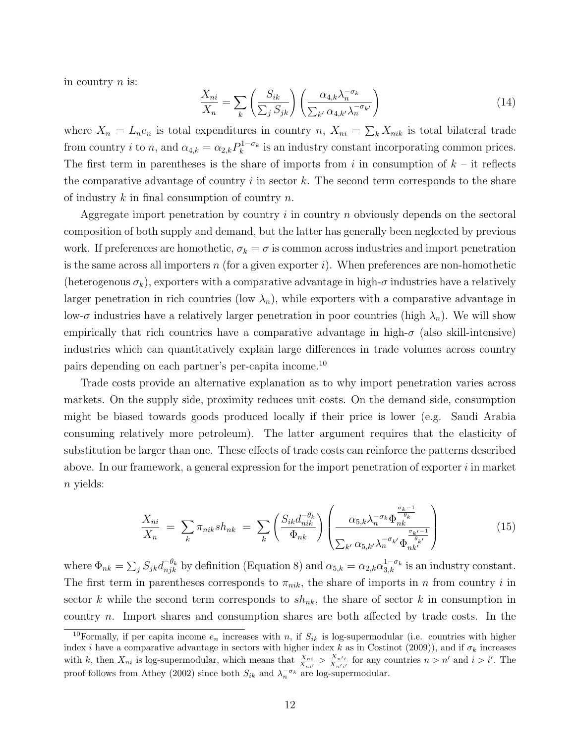in country  $n$  is:

$$
\frac{X_{ni}}{X_n} = \sum_{k} \left( \frac{S_{ik}}{\sum_{j} S_{jk}} \right) \left( \frac{\alpha_{4,k} \lambda_n^{-\sigma_k}}{\sum_{k'} \alpha_{4,k'} \lambda_n^{-\sigma_{k'}}} \right) \tag{14}
$$

where  $X_n = L_n e_n$  is total expenditures in country n,  $X_{ni} = \sum_k X_{nik}$  is total bilateral trade from country *i* to *n*, and  $\alpha_{4,k} = \alpha_{2,k} P_k^{1-\sigma_k}$  is an industry constant incorporating common prices. The first term in parentheses is the share of imports from i in consumption of  $k - it$  reflects the comparative advantage of country  $i$  in sector  $k$ . The second term corresponds to the share of industry  $k$  in final consumption of country  $n$ .

Aggregate import penetration by country i in country n obviously depends on the sectoral composition of both supply and demand, but the latter has generally been neglected by previous work. If preferences are homothetic,  $\sigma_k = \sigma$  is common across industries and import penetration is the same across all importers  $n$  (for a given exporter  $i$ ). When preferences are non-homothetic (heterogenous  $\sigma_k$ ), exporters with a comparative advantage in high- $\sigma$  industries have a relatively larger penetration in rich countries (low  $\lambda_n$ ), while exporters with a comparative advantage in low- $\sigma$  industries have a relatively larger penetration in poor countries (high  $\lambda_n$ ). We will show empirically that rich countries have a comparative advantage in high- $\sigma$  (also skill-intensive) industries which can quantitatively explain large differences in trade volumes across country pairs depending on each partner's per-capita income.<sup>10</sup>

Trade costs provide an alternative explanation as to why import penetration varies across markets. On the supply side, proximity reduces unit costs. On the demand side, consumption might be biased towards goods produced locally if their price is lower (e.g. Saudi Arabia consuming relatively more petroleum). The latter argument requires that the elasticity of substitution be larger than one. These effects of trade costs can reinforce the patterns described above. In our framework, a general expression for the import penetration of exporter  $i$  in market n yields:

$$
\frac{X_{ni}}{X_n} = \sum_k \pi_{nik} sh_{nk} = \sum_k \left( \frac{S_{ik} d_{nik}^{-\theta_k}}{\Phi_{nk}} \right) \left( \frac{\alpha_{5,k} \lambda_n^{-\sigma_k} \Phi_{nk}^{\frac{\sigma_k - 1}{\theta_k}}}{\sum_{k'} \alpha_{5,k'} \lambda_n^{-\sigma_{k'}} \Phi_{nk'}^{\frac{\sigma_{k'} - 1}{\theta_{k'}}}} \right)
$$
(15)

where  $\Phi_{nk} = \sum_j S_{jk} d_{njk}^{-\theta_k}$  by definition (Equation 8) and  $\alpha_{5,k} = \alpha_{2,k} \alpha_{3,k}^{1-\sigma_k}$  is an industry constant. The first term in parentheses corresponds to  $\pi_{nik}$ , the share of imports in n from country i in sector k while the second term corresponds to  $sh_{nk}$ , the share of sector k in consumption in country n. Import shares and consumption shares are both affected by trade costs. In the

<sup>&</sup>lt;sup>10</sup>Formally, if per capita income  $e_n$  increases with n, if  $S_{ik}$  is log-supermodular (i.e. countries with higher index *i* have a comparative advantage in sectors with higher index k as in Costinot (2009)), and if  $\sigma_k$  increases with k, then  $X_{ni}$  is log-supermodular, which means that  $\frac{X_{ni}}{X_{ni'}} > \frac{X_{n'i}}{X_{n'i'}}$  $\frac{X_{n'i}}{X_{n'i'}}$  for any countries  $n > n'$  and  $i > i'$ . The proof follows from Athey (2002) since both  $S_{ik}$  and  $\lambda_n^{-\sigma_k}$  are log-supermodular.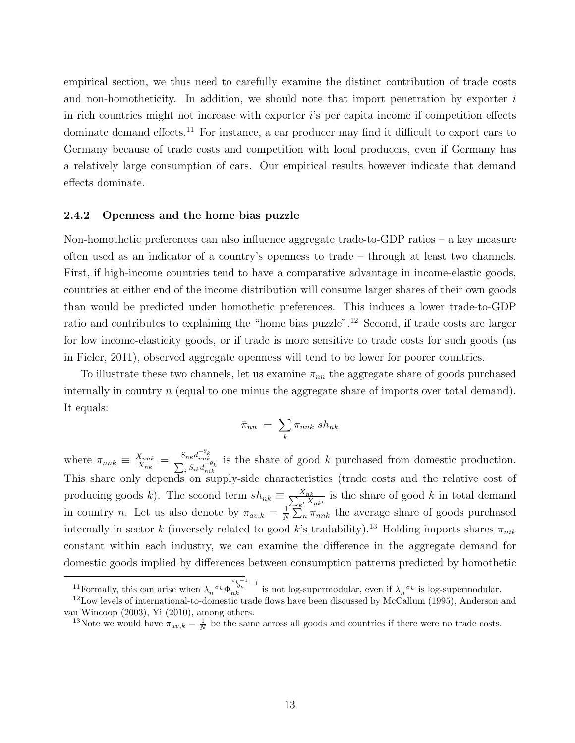empirical section, we thus need to carefully examine the distinct contribution of trade costs and non-homotheticity. In addition, we should note that import penetration by exporter  $i$ in rich countries might not increase with exporter  $i$ 's per capita income if competition effects dominate demand effects.<sup>11</sup> For instance, a car producer may find it difficult to export cars to Germany because of trade costs and competition with local producers, even if Germany has a relatively large consumption of cars. Our empirical results however indicate that demand effects dominate.

#### 2.4.2 Openness and the home bias puzzle

Non-homothetic preferences can also influence aggregate trade-to-GDP ratios – a key measure often used as an indicator of a country's openness to trade – through at least two channels. First, if high-income countries tend to have a comparative advantage in income-elastic goods, countries at either end of the income distribution will consume larger shares of their own goods than would be predicted under homothetic preferences. This induces a lower trade-to-GDP ratio and contributes to explaining the "home bias puzzle".<sup>12</sup> Second, if trade costs are larger for low income-elasticity goods, or if trade is more sensitive to trade costs for such goods (as in Fieler, 2011), observed aggregate openness will tend to be lower for poorer countries.

To illustrate these two channels, let us examine  $\bar{\pi}_{nn}$  the aggregate share of goods purchased internally in country n (equal to one minus the aggregate share of imports over total demand). It equals:

$$
\bar{\pi}_{nn} = \sum_{k} \pi_{nnk} \; sh_{nk}
$$

where  $\pi_{nnk} \equiv \frac{X_{nnk}}{X_{nk}}$  $\frac{X_{nnk}}{X_{nk}}\,=\,\frac{S_{nk}d_{nnk}^{-\theta_k}}{\sum_i S_{ik}d_{nik}^{-\theta_k}}$ is the share of good k purchased from domestic production. This share only depends on supply-side characteristics (trade costs and the relative cost of producing goods k). The second term  $sh_{nk} \equiv \frac{X_{nk}}{\sum_{k'} X}$  $\frac{X_{nk}}{k!}\frac{X_{nk}}{X_{nk'}}$  is the share of good k in total demand in country *n*. Let us also denote by  $\pi_{av,k} = \frac{1}{N}$  $\frac{1}{N} \sum_{n} \pi_{nnk}$  the average share of goods purchased internally in sector k (inversely related to good k's tradability).<sup>13</sup> Holding imports shares  $\pi_{nik}$ constant within each industry, we can examine the difference in the aggregate demand for domestic goods implied by differences between consumption patterns predicted by homothetic

<sup>&</sup>lt;sup>11</sup>Formally, this can arise when  $\lambda_n^{-\sigma_k} \Phi_{nk}^{\frac{\sigma_k-1}{\sigma_k}-1}$  is not log-supermodular, even if  $\lambda_n^{-\sigma_k}$  is log-supermodular.

 $12$ Low levels of international-to-domestic trade flows have been discussed by McCallum (1995), Anderson and van Wincoop (2003), Yi (2010), among others.

<sup>&</sup>lt;sup>13</sup>Note we would have  $\pi_{av,k} = \frac{1}{N}$  be the same across all goods and countries if there were no trade costs.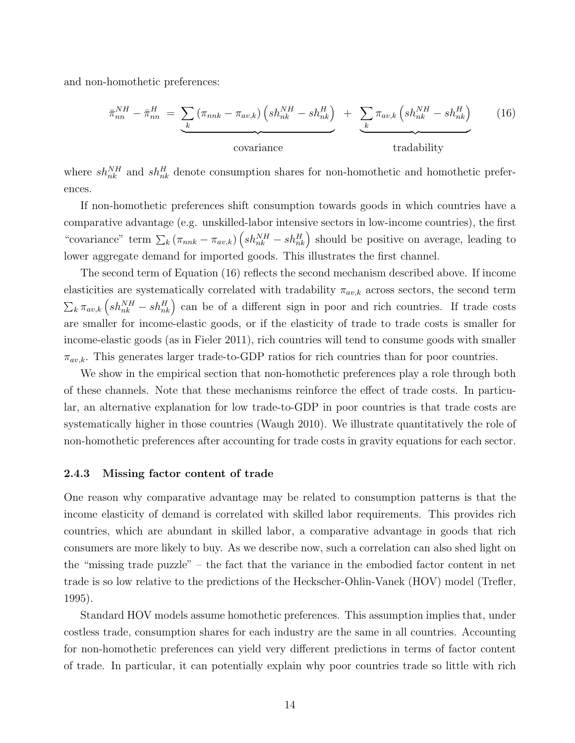and non-homothetic preferences:

$$
\bar{\pi}_{nn}^{NH} - \bar{\pi}_{nn}^{H} = \underbrace{\sum_{k} (\pi_{nnk} - \pi_{av,k}) \left( sh_{nk}^{NH} - sh_{nk}^{H} \right)}_{\text{covariance}} + \underbrace{\sum_{k} \pi_{av,k} \left( sh_{nk}^{NH} - sh_{nk}^{H} \right)}_{\text{tradability}} \qquad (16)
$$

where  $sh_{nk}^{NH}$  and  $sh_{nk}^{H}$  denote consumption shares for non-homothetic and homothetic preferences.

If non-homothetic preferences shift consumption towards goods in which countries have a comparative advantage (e.g. unskilled-labor intensive sectors in low-income countries), the first "covariance" term  $\sum_{k} (\pi_{nnk} - \pi_{av,k}) (sh_{nk}^{NH} - sh_{nk}^{H})$  should be positive on average, leading to lower aggregate demand for imported goods. This illustrates the first channel.

The second term of Equation (16) reflects the second mechanism described above. If income elasticities are systematically correlated with tradability  $\pi_{av,k}$  across sectors, the second term  $\sum_{k} \pi_{av,k} \left( sh_{nk}^{NH} - sh_{nk}^{H} \right)$  can be of a different sign in poor and rich countries. If trade costs are smaller for income-elastic goods, or if the elasticity of trade to trade costs is smaller for income-elastic goods (as in Fieler 2011), rich countries will tend to consume goods with smaller  $\pi_{av,k}$ . This generates larger trade-to-GDP ratios for rich countries than for poor countries.

We show in the empirical section that non-homothetic preferences play a role through both of these channels. Note that these mechanisms reinforce the effect of trade costs. In particular, an alternative explanation for low trade-to-GDP in poor countries is that trade costs are systematically higher in those countries (Waugh 2010). We illustrate quantitatively the role of non-homothetic preferences after accounting for trade costs in gravity equations for each sector.

#### 2.4.3 Missing factor content of trade

One reason why comparative advantage may be related to consumption patterns is that the income elasticity of demand is correlated with skilled labor requirements. This provides rich countries, which are abundant in skilled labor, a comparative advantage in goods that rich consumers are more likely to buy. As we describe now, such a correlation can also shed light on the "missing trade puzzle" – the fact that the variance in the embodied factor content in net trade is so low relative to the predictions of the Heckscher-Ohlin-Vanek (HOV) model (Trefler, 1995).

Standard HOV models assume homothetic preferences. This assumption implies that, under costless trade, consumption shares for each industry are the same in all countries. Accounting for non-homothetic preferences can yield very different predictions in terms of factor content of trade. In particular, it can potentially explain why poor countries trade so little with rich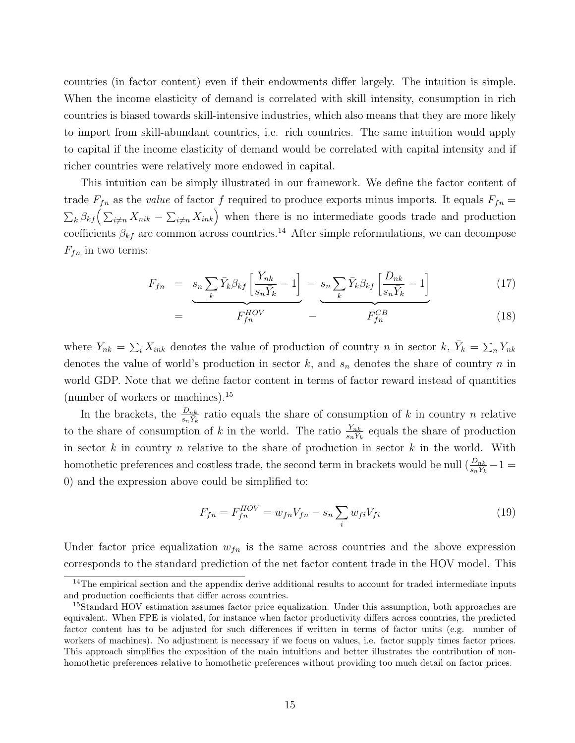countries (in factor content) even if their endowments differ largely. The intuition is simple. When the income elasticity of demand is correlated with skill intensity, consumption in rich countries is biased towards skill-intensive industries, which also means that they are more likely to import from skill-abundant countries, i.e. rich countries. The same intuition would apply to capital if the income elasticity of demand would be correlated with capital intensity and if richer countries were relatively more endowed in capital.

This intuition can be simply illustrated in our framework. We define the factor content of trade  $F_{fn}$  as the *value* of factor f required to produce exports minus imports. It equals  $F_{fn}$  =  $\sum_{k} \beta_{kf} \left( \sum_{i \neq n} X_{nik} - \sum_{i \neq n} X_{ink} \right)$  when there is no intermediate goods trade and production coefficients  $\beta_{kf}$  are common across countries.<sup>14</sup> After simple reformulations, we can decompose  $F_{fn}$  in two terms:

$$
F_{fn} = s_n \sum_{k} \bar{Y}_k \beta_{kf} \left[ \frac{Y_{nk}}{s_n \bar{Y}_k} - 1 \right] - s_n \sum_{k} \bar{Y}_k \beta_{kf} \left[ \frac{D_{nk}}{s_n \bar{Y}_k} - 1 \right]
$$
(17)

$$
= \overbrace{F_{fn}^{HOV}} - \overbrace{F_{fn}^{CB}} \tag{18}
$$

where  $Y_{nk} = \sum_{i} X_{ink}$  denotes the value of production of country n in sector k,  $\bar{Y}_k = \sum_{n} Y_{nk}$ denotes the value of world's production in sector  $k$ , and  $s_n$  denotes the share of country n in world GDP. Note that we define factor content in terms of factor reward instead of quantities (number of workers or machines).<sup>15</sup>

In the brackets, the  $\frac{D_{nk}}{s_n Y_k}$  ratio equals the share of consumption of k in country n relative to the share of consumption of k in the world. The ratio  $\frac{Y_{nk}}{s_n Y_k}$  equals the share of production in sector  $k$  in country  $n$  relative to the share of production in sector  $k$  in the world. With homothetic preferences and costless trade, the second term in brackets would be null  $(\frac{D_{nk}}{s_n Y_k} - 1)$ 0) and the expression above could be simplified to:

$$
F_{fn} = F_{fn}^{HOV} = w_{fn}V_{fn} - s_n \sum_{i} w_{fi} V_{fi}
$$
\n(19)

Under factor price equalization  $w_{fn}$  is the same across countries and the above expression corresponds to the standard prediction of the net factor content trade in the HOV model. This

 $14$ The empirical section and the appendix derive additional results to account for traded intermediate inputs and production coefficients that differ across countries.

<sup>&</sup>lt;sup>15</sup>Standard HOV estimation assumes factor price equalization. Under this assumption, both approaches are equivalent. When FPE is violated, for instance when factor productivity differs across countries, the predicted factor content has to be adjusted for such differences if written in terms of factor units (e.g. number of workers of machines). No adjustment is necessary if we focus on values, i.e. factor supply times factor prices. This approach simplifies the exposition of the main intuitions and better illustrates the contribution of nonhomothetic preferences relative to homothetic preferences without providing too much detail on factor prices.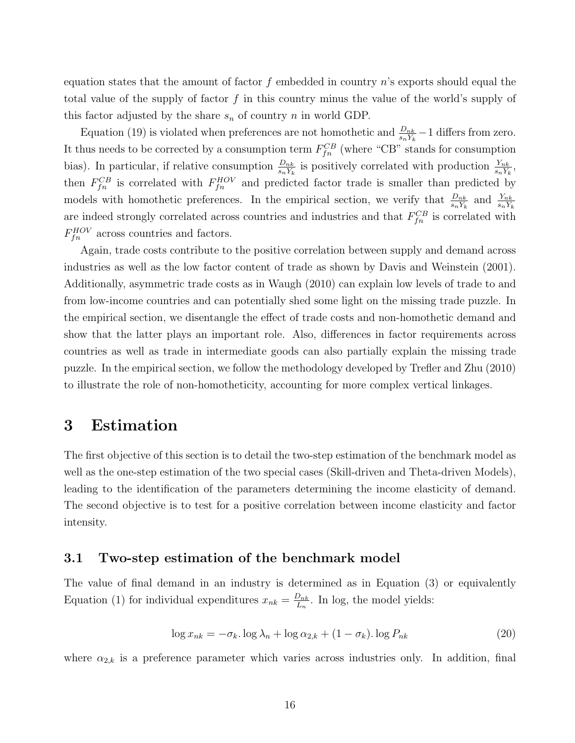equation states that the amount of factor f embedded in country  $n$ 's exports should equal the total value of the supply of factor f in this country minus the value of the world's supply of this factor adjusted by the share  $s_n$  of country n in world GDP.

Equation (19) is violated when preferences are not homothetic and  $\frac{D_{nk}}{s_n Y_k} - 1$  differs from zero. It thus needs to be corrected by a consumption term  $F_{fn}^{CB}$  (where "CB" stands for consumption bias). In particular, if relative consumption  $\frac{D_{nk}}{s_n Y_k}$  is positively correlated with production  $\frac{Y_{nk}}{s_n Y_k}$ , then  $F_{fn}^{CB}$  is correlated with  $F_{fn}^{HOV}$  and predicted factor trade is smaller than predicted by models with homothetic preferences. In the empirical section, we verify that  $\frac{D_{nk}}{s_n Y_k}$  and  $\frac{Y_{nk}}{s_n Y_k}$ are indeed strongly correlated across countries and industries and that  $F_{fn}^{CB}$  is correlated with  $F_{fn}^{HOV}$  across countries and factors.

Again, trade costs contribute to the positive correlation between supply and demand across industries as well as the low factor content of trade as shown by Davis and Weinstein (2001). Additionally, asymmetric trade costs as in Waugh (2010) can explain low levels of trade to and from low-income countries and can potentially shed some light on the missing trade puzzle. In the empirical section, we disentangle the effect of trade costs and non-homothetic demand and show that the latter plays an important role. Also, differences in factor requirements across countries as well as trade in intermediate goods can also partially explain the missing trade puzzle. In the empirical section, we follow the methodology developed by Trefler and Zhu (2010) to illustrate the role of non-homotheticity, accounting for more complex vertical linkages.

## 3 Estimation

The first objective of this section is to detail the two-step estimation of the benchmark model as well as the one-step estimation of the two special cases (Skill-driven and Theta-driven Models), leading to the identification of the parameters determining the income elasticity of demand. The second objective is to test for a positive correlation between income elasticity and factor intensity.

## 3.1 Two-step estimation of the benchmark model

The value of final demand in an industry is determined as in Equation (3) or equivalently Equation (1) for individual expenditures  $x_{nk} = \frac{D_{nk}}{L_n}$  $\frac{D_{nk}}{L_n}$ . In log, the model yields:

$$
\log x_{nk} = -\sigma_k \cdot \log \lambda_n + \log \alpha_{2,k} + (1 - \sigma_k) \cdot \log P_{nk} \tag{20}
$$

where  $\alpha_{2,k}$  is a preference parameter which varies across industries only. In addition, final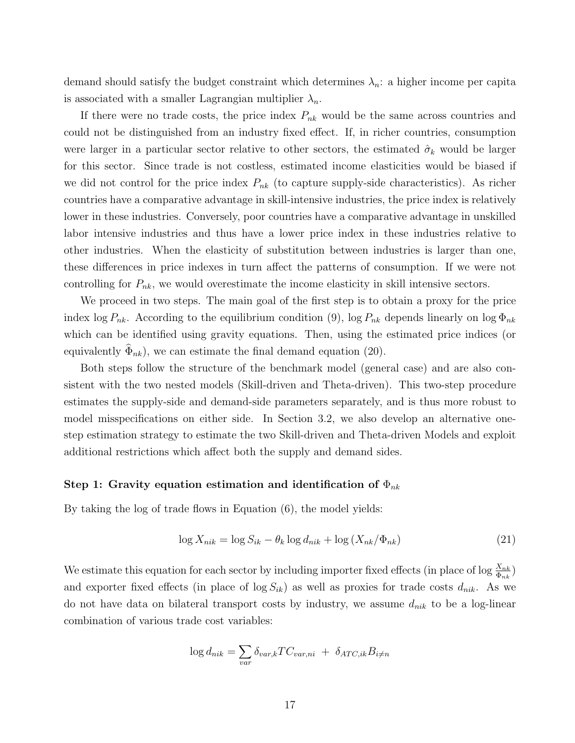demand should satisfy the budget constraint which determines  $\lambda_n$ : a higher income per capita is associated with a smaller Lagrangian multiplier  $\lambda_n$ .

If there were no trade costs, the price index  $P_{nk}$  would be the same across countries and could not be distinguished from an industry fixed effect. If, in richer countries, consumption were larger in a particular sector relative to other sectors, the estimated  $\hat{\sigma}_k$  would be larger for this sector. Since trade is not costless, estimated income elasticities would be biased if we did not control for the price index  $P_{nk}$  (to capture supply-side characteristics). As richer countries have a comparative advantage in skill-intensive industries, the price index is relatively lower in these industries. Conversely, poor countries have a comparative advantage in unskilled labor intensive industries and thus have a lower price index in these industries relative to other industries. When the elasticity of substitution between industries is larger than one, these differences in price indexes in turn affect the patterns of consumption. If we were not controlling for  $P_{nk}$ , we would overestimate the income elasticity in skill intensive sectors.

We proceed in two steps. The main goal of the first step is to obtain a proxy for the price index log  $P_{nk}$ . According to the equilibrium condition (9), log  $P_{nk}$  depends linearly on log  $\Phi_{nk}$ which can be identified using gravity equations. Then, using the estimated price indices (or equivalently  $\Phi_{nk}$ ), we can estimate the final demand equation (20).

Both steps follow the structure of the benchmark model (general case) and are also consistent with the two nested models (Skill-driven and Theta-driven). This two-step procedure estimates the supply-side and demand-side parameters separately, and is thus more robust to model misspecifications on either side. In Section 3.2, we also develop an alternative onestep estimation strategy to estimate the two Skill-driven and Theta-driven Models and exploit additional restrictions which affect both the supply and demand sides.

#### Step 1: Gravity equation estimation and identification of  $\Phi_{nk}$

By taking the log of trade flows in Equation (6), the model yields:

$$
\log X_{nik} = \log S_{ik} - \theta_k \log d_{nik} + \log (X_{nk}/\Phi_{nk})
$$
\n(21)

We estimate this equation for each sector by including importer fixed effects (in place of log  $\frac{X_{nk}}{\Phi_{nk}}$ ) and exporter fixed effects (in place of  $\log S_{ik}$ ) as well as proxies for trade costs  $d_{nik}$ . As we do not have data on bilateral transport costs by industry, we assume  $d_{nik}$  to be a log-linear combination of various trade cost variables:

$$
\log d_{nik} = \sum_{var} \delta_{var,k} TC_{var,ni} + \delta_{ATC,ik} B_{i \neq n}
$$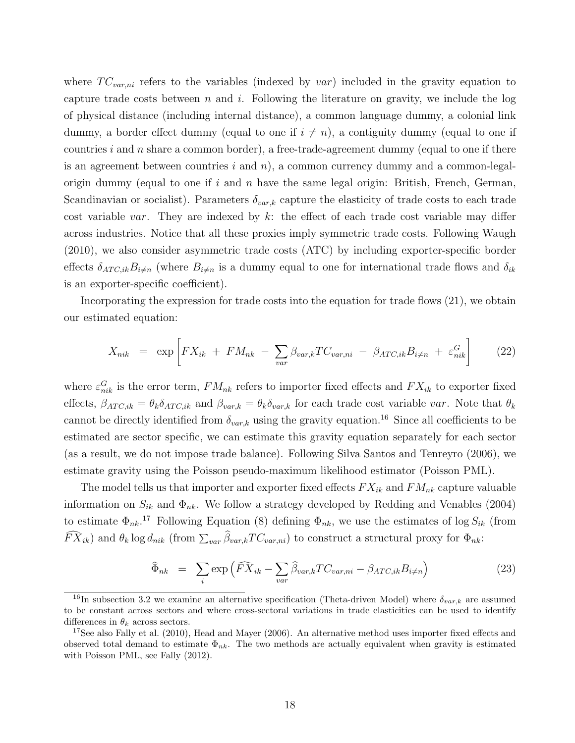where  $TC_{var,ni}$  refers to the variables (indexed by var) included in the gravity equation to capture trade costs between n and i. Following the literature on gravity, we include the log of physical distance (including internal distance), a common language dummy, a colonial link dummy, a border effect dummy (equal to one if  $i \neq n$ ), a contiguity dummy (equal to one if countries i and n share a common border), a free-trade-agreement dummy (equal to one if there is an agreement between countries  $i$  and  $n$ ), a common currency dummy and a common-legalorigin dummy (equal to one if i and n have the same legal origin: British, French, German, Scandinavian or socialist). Parameters  $\delta_{var,k}$  capture the elasticity of trade costs to each trade cost variable var. They are indexed by  $k$ : the effect of each trade cost variable may differ across industries. Notice that all these proxies imply symmetric trade costs. Following Waugh (2010), we also consider asymmetric trade costs (ATC) by including exporter-specific border effects  $\delta_{ATC,ik}B_{i\neq n}$  (where  $B_{i\neq n}$  is a dummy equal to one for international trade flows and  $\delta_{ik}$ is an exporter-specific coefficient).

Incorporating the expression for trade costs into the equation for trade flows (21), we obtain our estimated equation:

$$
X_{nik} = \exp\left[FX_{ik} + FM_{nk} - \sum_{var} \beta_{var,k} TC_{var,ni} - \beta_{ATC,ik} B_{i \neq n} + \varepsilon_{nik}^G\right]
$$
 (22)

where  $\varepsilon_{nik}^G$  is the error term,  $FM_{nk}$  refers to importer fixed effects and  $FX_{ik}$  to exporter fixed effects,  $\beta_{ATC,ik} = \theta_k \delta_{ATC,ik}$  and  $\beta_{var,k} = \theta_k \delta_{var,k}$  for each trade cost variable var. Note that  $\theta_k$ cannot be directly identified from  $\delta_{var,k}$  using the gravity equation.<sup>16</sup> Since all coefficients to be estimated are sector specific, we can estimate this gravity equation separately for each sector (as a result, we do not impose trade balance). Following Silva Santos and Tenreyro (2006), we estimate gravity using the Poisson pseudo-maximum likelihood estimator (Poisson PML).

The model tells us that importer and exporter fixed effects  $FX_{ik}$  and  $FM_{nk}$  capture valuable information on  $S_{ik}$  and  $\Phi_{nk}$ . We follow a strategy developed by Redding and Venables (2004) to estimate  $\Phi_{nk}$ <sup>17</sup> Following Equation (8) defining  $\Phi_{nk}$ , we use the estimates of log  $S_{ik}$  (from  $FX_{ik}$ ) and  $\theta_k \log d_{nik}$  (from  $\sum_{var} \beta_{var,k} TC_{var,ni}$ ) to construct a structural proxy for  $\Phi_{nk}$ :

$$
\widehat{\Phi}_{nk} = \sum_{i} \exp\left(\widehat{FX}_{ik} - \sum_{var} \widehat{\beta}_{var, k} TC_{var, ni} - \beta_{ATC, ik} B_{i \neq n}\right) \tag{23}
$$

<sup>&</sup>lt;sup>16</sup>In subsection 3.2 we examine an alternative specification (Theta-driven Model) where  $\delta_{var,k}$  are assumed to be constant across sectors and where cross-sectoral variations in trade elasticities can be used to identify differences in  $\theta_k$  across sectors.

<sup>&</sup>lt;sup>17</sup>See also Fally et al. (2010), Head and Mayer (2006). An alternative method uses importer fixed effects and observed total demand to estimate  $\Phi_{nk}$ . The two methods are actually equivalent when gravity is estimated with Poisson PML, see Fally (2012).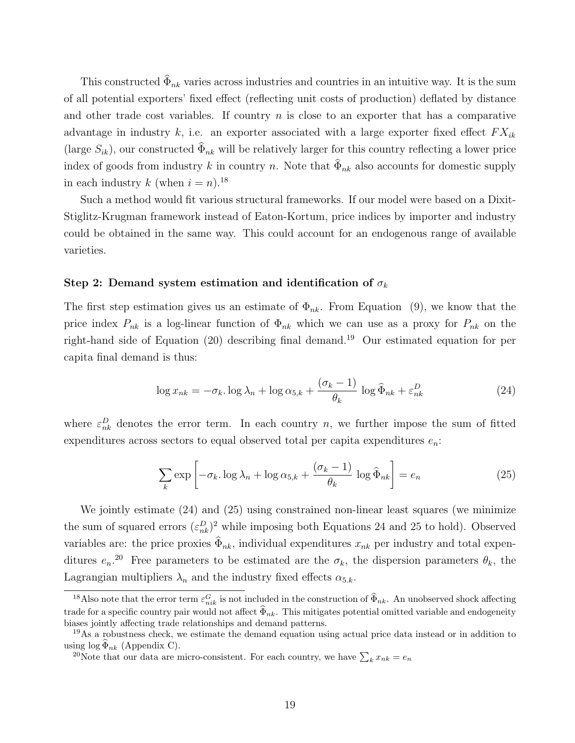This constructed  $\Phi_{nk}$  varies across industries and countries in an intuitive way. It is the sum of all potential exporters' fixed effect (reflecting unit costs of production) deflated by distance and other trade cost variables. If country  $n$  is close to an exporter that has a comparative advantage in industry k, i.e. an exporter associated with a large exporter fixed effect  $FX_{ik}$ (large  $S_{ik}$ ), our constructed  $\Phi_{nk}$  will be relatively larger for this country reflecting a lower price index of goods from industry k in country n. Note that  $\Phi_{nk}$  also accounts for domestic supply in each industry k (when  $i = n$ ).<sup>18</sup>

Such a method would fit various structural frameworks. If our model were based on a Dixit-Stiglitz-Krugman framework instead of Eaton-Kortum, price indices by importer and industry could be obtained in the same way. This could account for an endogenous range of available varieties.

#### Step 2: Demand system estimation and identification of  $\sigma_k$

The first step estimation gives us an estimate of  $\Phi_{nk}$ . From Equation (9), we know that the price index  $P_{nk}$  is a log-linear function of  $\Phi_{nk}$  which we can use as a proxy for  $P_{nk}$  on the right-hand side of Equation (20) describing final demand.<sup>19</sup> Our estimated equation for per capita final demand is thus:

$$
\log x_{nk} = -\sigma_k \cdot \log \lambda_n + \log \alpha_{5,k} + \frac{(\sigma_k - 1)}{\theta_k} \log \widehat{\Phi}_{nk} + \varepsilon_{nk}^D \tag{24}
$$

where  $\varepsilon_{nk}^D$  denotes the error term. In each country n, we further impose the sum of fitted expenditures across sectors to equal observed total per capita expenditures  $e_n$ .

$$
\sum_{k} \exp\left[-\sigma_{k} \cdot \log \lambda_{n} + \log \alpha_{5,k} + \frac{(\sigma_{k} - 1)}{\theta_{k}} \log \hat{\Phi}_{nk}\right] = e_{n}
$$
\n(25)

We jointly estimate (24) and (25) using constrained non-linear least squares (we minimize the sum of squared errors  $(\varepsilon_{nk}^D)^2$  while imposing both Equations 24 and 25 to hold). Observed variables are: the price proxies  $\Phi_{nk}$ , individual expenditures  $x_{nk}$  per industry and total expenditures  $e_n$ <sup>20</sup> Free parameters to be estimated are the  $\sigma_k$ , the dispersion parameters  $\theta_k$ , the Lagrangian multipliers  $\lambda_n$  and the industry fixed effects  $\alpha_{5,k}$ .

<sup>&</sup>lt;sup>18</sup>Also note that the error term  $\varepsilon_{nik}^G$  is not included in the construction of  $\widehat{\Phi}_{nk}$ . An unobserved shock affecting trade for a specific country pair would not affect  $\widehat{\Phi}_{nk}$ . This mitigates potential omitted variable and endogeneity biases jointly affecting trade relationships and demand patterns.

<sup>&</sup>lt;sup>19</sup>As a robustness check, we estimate the demand equation using actual price data instead or in addition to using  $log \Phi_{nk}$  (Appendix C).

<sup>&</sup>lt;sup>20</sup>Note that our data are micro-consistent. For each country, we have  $\sum_k x_{nk} = e_n$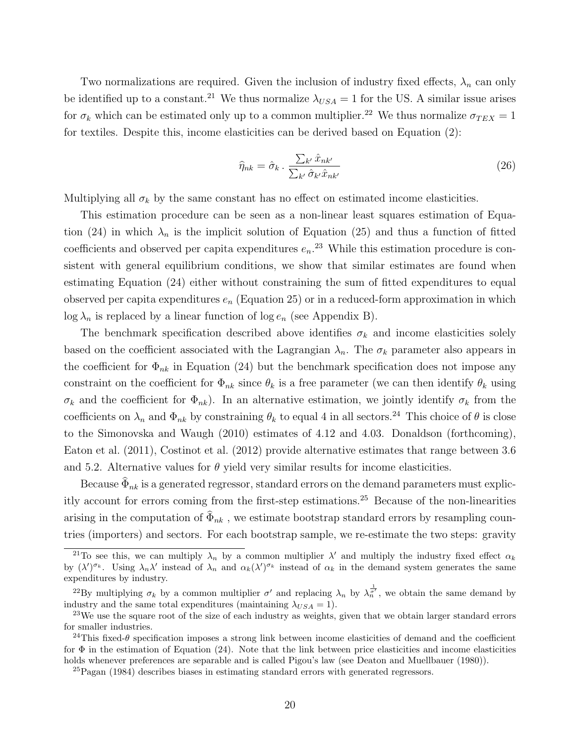Two normalizations are required. Given the inclusion of industry fixed effects,  $\lambda_n$  can only be identified up to a constant.<sup>21</sup> We thus normalize  $\lambda_{USA} = 1$  for the US. A similar issue arises for  $\sigma_k$  which can be estimated only up to a common multiplier.<sup>22</sup> We thus normalize  $\sigma_{TEX} = 1$ for textiles. Despite this, income elasticities can be derived based on Equation (2):

$$
\widehat{\eta}_{nk} = \widehat{\sigma}_k \cdot \frac{\sum_{k'} \widehat{x}_{nk'}}{\sum_{k'} \widehat{\sigma}_{k'} \widehat{x}_{nk'}} \tag{26}
$$

Multiplying all  $\sigma_k$  by the same constant has no effect on estimated income elasticities.

This estimation procedure can be seen as a non-linear least squares estimation of Equation (24) in which  $\lambda_n$  is the implicit solution of Equation (25) and thus a function of fitted coefficients and observed per capita expenditures  $e_n$ <sup>23</sup> While this estimation procedure is consistent with general equilibrium conditions, we show that similar estimates are found when estimating Equation (24) either without constraining the sum of fitted expenditures to equal observed per capita expenditures  $e_n$  (Equation 25) or in a reduced-form approximation in which  $\log \lambda_n$  is replaced by a linear function of  $\log e_n$  (see Appendix B).

The benchmark specification described above identifies  $\sigma_k$  and income elasticities solely based on the coefficient associated with the Lagrangian  $\lambda_n$ . The  $\sigma_k$  parameter also appears in the coefficient for  $\Phi_{nk}$  in Equation (24) but the benchmark specification does not impose any constraint on the coefficient for  $\Phi_{nk}$  since  $\theta_k$  is a free parameter (we can then identify  $\theta_k$  using  $\sigma_k$  and the coefficient for  $\Phi_{nk}$ ). In an alternative estimation, we jointly identify  $\sigma_k$  from the coefficients on  $\lambda_n$  and  $\Phi_{nk}$  by constraining  $\theta_k$  to equal 4 in all sectors.<sup>24</sup> This choice of  $\theta$  is close to the Simonovska and Waugh (2010) estimates of 4.12 and 4.03. Donaldson (forthcoming), Eaton et al. (2011), Costinot et al. (2012) provide alternative estimates that range between 3.6 and 5.2. Alternative values for  $\theta$  yield very similar results for income elasticities.

Because  $\Phi_{nk}$  is a generated regressor, standard errors on the demand parameters must explicitly account for errors coming from the first-step estimations.<sup>25</sup> Because of the non-linearities arising in the computation of  $\Phi_{nk}$ , we estimate bootstrap standard errors by resampling countries (importers) and sectors. For each bootstrap sample, we re-estimate the two steps: gravity

<sup>&</sup>lt;sup>21</sup>To see this, we can multiply  $\lambda_n$  by a common multiplier  $\lambda'$  and multiply the industry fixed effect  $\alpha_k$ by  $(\lambda')^{\sigma_k}$ . Using  $\lambda_n \lambda'$  instead of  $\lambda_n$  and  $\alpha_k(\lambda')^{\sigma_k}$  instead of  $\alpha_k$  in the demand system generates the same expenditures by industry.

<sup>&</sup>lt;sup>22</sup>By multiplying  $\sigma_k$  by a common multiplier  $\sigma'$  and replacing  $\lambda_n$  by  $\lambda_n^{\frac{1}{\sigma'}}$ , we obtain the same demand by industry and the same total expenditures (maintaining  $\lambda_{USA} = 1$ ).

<sup>&</sup>lt;sup>23</sup>We use the square root of the size of each industry as weights, given that we obtain larger standard errors for smaller industries.

<sup>&</sup>lt;sup>24</sup>This fixed- $\theta$  specification imposes a strong link between income elasticities of demand and the coefficient for  $\Phi$  in the estimation of Equation (24). Note that the link between price elasticities and income elasticities holds whenever preferences are separable and is called Pigou's law (see Deaton and Muellbauer (1980)).

<sup>25</sup>Pagan (1984) describes biases in estimating standard errors with generated regressors.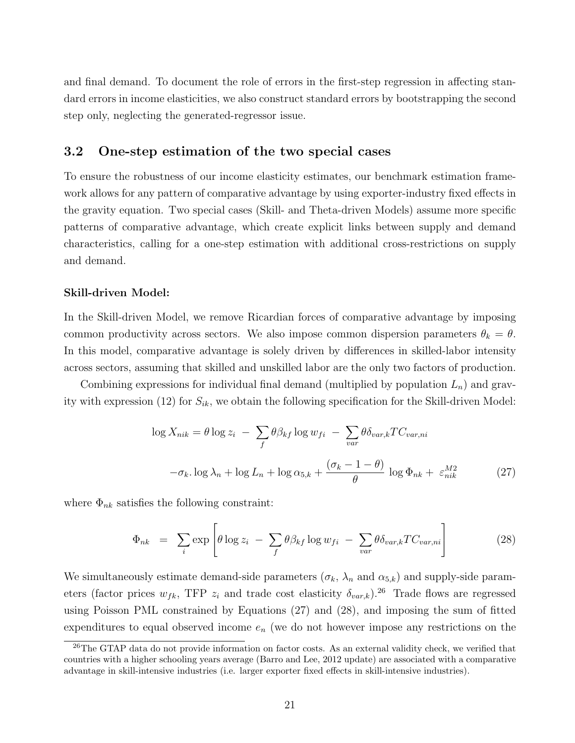and final demand. To document the role of errors in the first-step regression in affecting standard errors in income elasticities, we also construct standard errors by bootstrapping the second step only, neglecting the generated-regressor issue.

## 3.2 One-step estimation of the two special cases

To ensure the robustness of our income elasticity estimates, our benchmark estimation framework allows for any pattern of comparative advantage by using exporter-industry fixed effects in the gravity equation. Two special cases (Skill- and Theta-driven Models) assume more specific patterns of comparative advantage, which create explicit links between supply and demand characteristics, calling for a one-step estimation with additional cross-restrictions on supply and demand.

#### Skill-driven Model:

In the Skill-driven Model, we remove Ricardian forces of comparative advantage by imposing common productivity across sectors. We also impose common dispersion parameters  $\theta_k = \theta$ . In this model, comparative advantage is solely driven by differences in skilled-labor intensity across sectors, assuming that skilled and unskilled labor are the only two factors of production.

Combining expressions for individual final demand (multiplied by population  $L_n$ ) and gravity with expression (12) for  $S_{ik}$ , we obtain the following specification for the Skill-driven Model:

$$
\log X_{nik} = \theta \log z_i - \sum_f \theta \beta_{kf} \log w_{fi} - \sum_{var} \theta \delta_{var,k} TC_{var,ni}
$$

$$
-\sigma_k \log \lambda_n + \log L_n + \log \alpha_{5,k} + \frac{(\sigma_k - 1 - \theta)}{\theta} \log \Phi_{nk} + \varepsilon_{nik}^{M2}
$$
(27)

where  $\Phi_{nk}$  satisfies the following constraint:

$$
\Phi_{nk} = \sum_{i} \exp \left[ \theta \log z_i - \sum_{f} \theta \beta_{kf} \log w_{fi} - \sum_{var} \theta \delta_{var,k} TC_{var,ni} \right]
$$
(28)

We simultaneously estimate demand-side parameters  $(\sigma_k, \lambda_n$  and  $\alpha_{5,k})$  and supply-side parameters (factor prices  $w_{fk}$ , TFP  $z_i$  and trade cost elasticity  $\delta_{var,k}$ ).<sup>26</sup> Trade flows are regressed using Poisson PML constrained by Equations (27) and (28), and imposing the sum of fitted expenditures to equal observed income  $e_n$  (we do not however impose any restrictions on the

<sup>&</sup>lt;sup>26</sup>The GTAP data do not provide information on factor costs. As an external validity check, we verified that countries with a higher schooling years average (Barro and Lee, 2012 update) are associated with a comparative advantage in skill-intensive industries (i.e. larger exporter fixed effects in skill-intensive industries).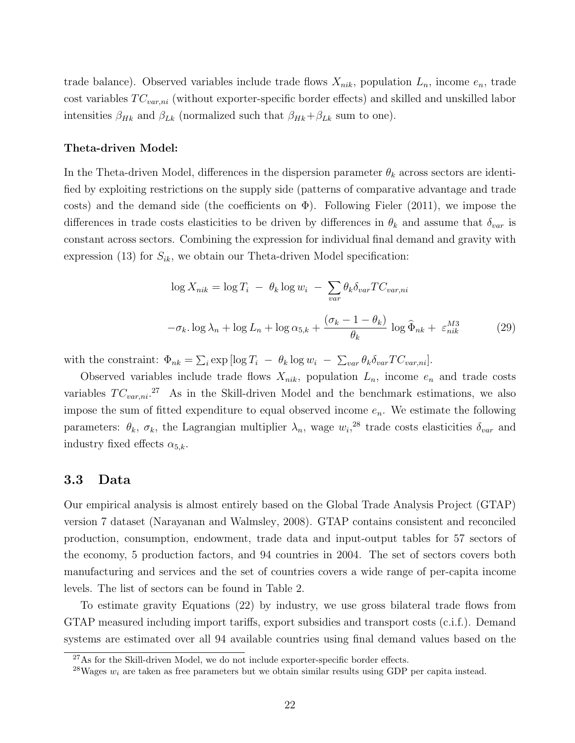trade balance). Observed variables include trade flows  $X_{nik}$ , population  $L_n$ , income  $e_n$ , trade cost variables  $TC_{var,ni}$  (without exporter-specific border effects) and skilled and unskilled labor intensities  $\beta_{Hk}$  and  $\beta_{Lk}$  (normalized such that  $\beta_{Hk}+\beta_{Lk}$  sum to one).

#### Theta-driven Model:

In the Theta-driven Model, differences in the dispersion parameter  $\theta_k$  across sectors are identified by exploiting restrictions on the supply side (patterns of comparative advantage and trade costs) and the demand side (the coefficients on  $\Phi$ ). Following Fieler (2011), we impose the differences in trade costs elasticities to be driven by differences in  $\theta_k$  and assume that  $\delta_{var}$  is constant across sectors. Combining the expression for individual final demand and gravity with expression (13) for  $S_{ik}$ , we obtain our Theta-driven Model specification:

$$
\log X_{nik} = \log T_i - \theta_k \log w_i - \sum_{var} \theta_k \delta_{var} T C_{var,ni}
$$

$$
-\sigma_k \log \lambda_n + \log L_n + \log \alpha_{5,k} + \frac{(\sigma_k - 1 - \theta_k)}{\theta_k} \log \hat{\Phi}_{nk} + \varepsilon_{nik}^{M3}
$$
(29)

with the constraint:  $\Phi_{nk} = \sum_i \exp \left[ \log T_i - \theta_k \log w_i - \sum_{var} \theta_k \delta_{var} T C_{var,ni} \right]$ .

Observed variables include trade flows  $X_{nik}$ , population  $L_n$ , income  $e_n$  and trade costs variables  $TC_{var,ni}$ <sup>27</sup> As in the Skill-driven Model and the benchmark estimations, we also impose the sum of fitted expenditure to equal observed income  $e_n$ . We estimate the following parameters:  $\theta_k$ ,  $\sigma_k$ , the Lagrangian multiplier  $\lambda_n$ , wage  $w_i$ <sup>28</sup> trade costs elasticities  $\delta_{var}$  and industry fixed effects  $\alpha_{5,k}$ .

### 3.3 Data

Our empirical analysis is almost entirely based on the Global Trade Analysis Project (GTAP) version 7 dataset (Narayanan and Walmsley, 2008). GTAP contains consistent and reconciled production, consumption, endowment, trade data and input-output tables for 57 sectors of the economy, 5 production factors, and 94 countries in 2004. The set of sectors covers both manufacturing and services and the set of countries covers a wide range of per-capita income levels. The list of sectors can be found in Table 2.

To estimate gravity Equations (22) by industry, we use gross bilateral trade flows from GTAP measured including import tariffs, export subsidies and transport costs (c.i.f.). Demand systems are estimated over all 94 available countries using final demand values based on the

<sup>&</sup>lt;sup>27</sup>As for the Skill-driven Model, we do not include exporter-specific border effects.

<sup>&</sup>lt;sup>28</sup>Wages  $w_i$  are taken as free parameters but we obtain similar results using GDP per capita instead.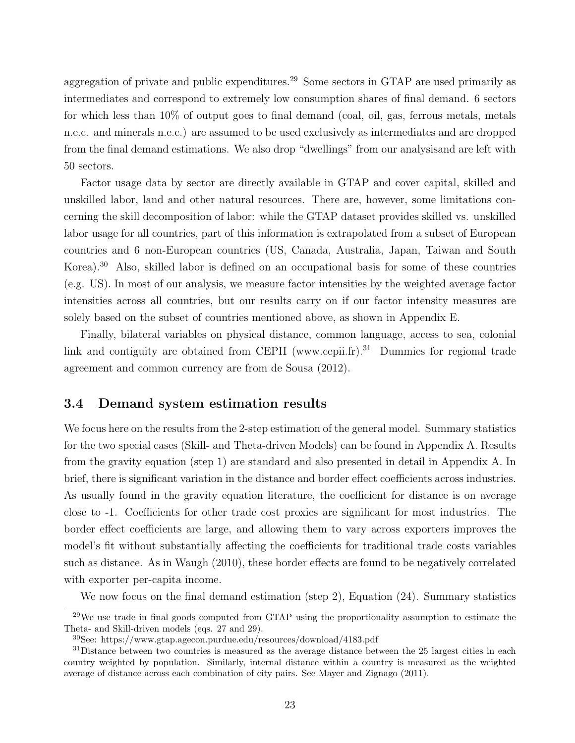aggregation of private and public expenditures.<sup>29</sup> Some sectors in GTAP are used primarily as intermediates and correspond to extremely low consumption shares of final demand. 6 sectors for which less than 10% of output goes to final demand (coal, oil, gas, ferrous metals, metals n.e.c. and minerals n.e.c.) are assumed to be used exclusively as intermediates and are dropped from the final demand estimations. We also drop "dwellings" from our analysisand are left with 50 sectors.

Factor usage data by sector are directly available in GTAP and cover capital, skilled and unskilled labor, land and other natural resources. There are, however, some limitations concerning the skill decomposition of labor: while the GTAP dataset provides skilled vs. unskilled labor usage for all countries, part of this information is extrapolated from a subset of European countries and 6 non-European countries (US, Canada, Australia, Japan, Taiwan and South Korea).<sup>30</sup> Also, skilled labor is defined on an occupational basis for some of these countries (e.g. US). In most of our analysis, we measure factor intensities by the weighted average factor intensities across all countries, but our results carry on if our factor intensity measures are solely based on the subset of countries mentioned above, as shown in Appendix E.

Finally, bilateral variables on physical distance, common language, access to sea, colonial link and contiguity are obtained from CEPII (www.cepii.fr).<sup>31</sup> Dummies for regional trade agreement and common currency are from de Sousa (2012).

## 3.4 Demand system estimation results

We focus here on the results from the 2-step estimation of the general model. Summary statistics for the two special cases (Skill- and Theta-driven Models) can be found in Appendix A. Results from the gravity equation (step 1) are standard and also presented in detail in Appendix A. In brief, there is significant variation in the distance and border effect coefficients across industries. As usually found in the gravity equation literature, the coefficient for distance is on average close to -1. Coefficients for other trade cost proxies are significant for most industries. The border effect coefficients are large, and allowing them to vary across exporters improves the model's fit without substantially affecting the coefficients for traditional trade costs variables such as distance. As in Waugh (2010), these border effects are found to be negatively correlated with exporter per-capita income.

We now focus on the final demand estimation (step 2), Equation (24). Summary statistics

 $29$ We use trade in final goods computed from GTAP using the proportionality assumption to estimate the Theta- and Skill-driven models (eqs. 27 and 29).

<sup>30</sup>See: https://www.gtap.agecon.purdue.edu/resources/download/4183.pdf

<sup>&</sup>lt;sup>31</sup>Distance between two countries is measured as the average distance between the 25 largest cities in each country weighted by population. Similarly, internal distance within a country is measured as the weighted average of distance across each combination of city pairs. See Mayer and Zignago (2011).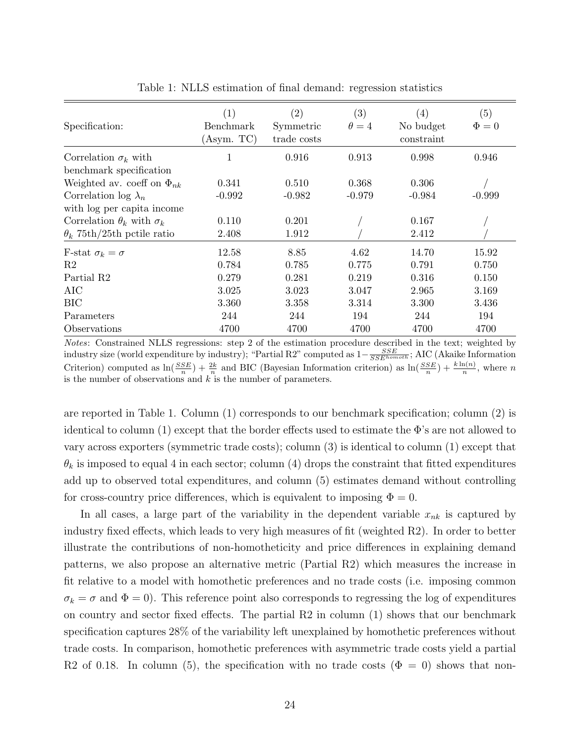| Specification:                         | (1)<br>Benchmark<br>(Asym. TC) | (2)<br>Symmetric<br>trade costs | (3)<br>$\theta = 4$ | $\left( 4\right)$<br>No budget<br>constraint | (5)<br>$\Phi = 0$ |
|----------------------------------------|--------------------------------|---------------------------------|---------------------|----------------------------------------------|-------------------|
| Correlation $\sigma_k$ with            | 1                              | 0.916                           | 0.913               | 0.998                                        | 0.946             |
| benchmark specification                |                                |                                 |                     |                                              |                   |
| Weighted av. coeff on $\Phi_{nk}$      | 0.341                          | 0.510                           | 0.368               | 0.306                                        |                   |
| Correlation log $\lambda_n$            | $-0.992$                       | $-0.982$                        | $-0.979$            | $-0.984$                                     | $-0.999$          |
| with log per capita income             |                                |                                 |                     |                                              |                   |
| Correlation $\theta_k$ with $\sigma_k$ | 0.110                          | 0.201                           |                     | 0.167                                        |                   |
| $\theta_k$ 75th/25th pctile ratio      | 2.408                          | 1.912                           |                     | 2.412                                        |                   |
| F-stat $\sigma_k = \sigma$             | 12.58                          | 8.85                            | 4.62                | 14.70                                        | 15.92             |
| R <sub>2</sub>                         | 0.784                          | 0.785                           | 0.775               | 0.791                                        | 0.750             |
| Partial R <sub>2</sub>                 | 0.279                          | 0.281                           | 0.219               | 0.316                                        | 0.150             |
| AIC                                    | 3.025                          | 3.023                           | 3.047               | 2.965                                        | 3.169             |
| <b>BIC</b>                             | 3.360                          | 3.358                           | 3.314               | 3.300                                        | 3.436             |
| Parameters                             | 244                            | 244                             | 194                 | 244                                          | 194               |
| Observations                           | 4700                           | 4700                            | 4700                | 4700                                         | 4700              |

Table 1: NLLS estimation of final demand: regression statistics

Notes: Constrained NLLS regressions: step 2 of the estimation procedure described in the text; weighted by industry size (world expenditure by industry); "Partial R2" computed as  $1-\frac{SSE}{SSE^{homoth}}$ ; AIC (Akaike Information Criterion) computed as  $\ln(\frac{SSE}{n}) + \frac{2k}{n}$  and BIC (Bayesian Information criterion) as  $\ln(\frac{SSE}{n}) + \frac{k \ln(n)}{n}$ , where n is the number of observations and  $k$  is the number of parameters.

are reported in Table 1. Column (1) corresponds to our benchmark specification; column (2) is identical to column (1) except that the border effects used to estimate the  $\Phi$ 's are not allowed to vary across exporters (symmetric trade costs); column (3) is identical to column (1) except that  $\theta_k$  is imposed to equal 4 in each sector; column (4) drops the constraint that fitted expenditures add up to observed total expenditures, and column (5) estimates demand without controlling for cross-country price differences, which is equivalent to imposing  $\Phi = 0$ .

In all cases, a large part of the variability in the dependent variable  $x_{nk}$  is captured by industry fixed effects, which leads to very high measures of fit (weighted R2). In order to better illustrate the contributions of non-homotheticity and price differences in explaining demand patterns, we also propose an alternative metric (Partial R2) which measures the increase in fit relative to a model with homothetic preferences and no trade costs (i.e. imposing common  $\sigma_k = \sigma$  and  $\Phi = 0$ ). This reference point also corresponds to regressing the log of expenditures on country and sector fixed effects. The partial  $R2$  in column  $(1)$  shows that our benchmark specification captures 28% of the variability left unexplained by homothetic preferences without trade costs. In comparison, homothetic preferences with asymmetric trade costs yield a partial R2 of 0.18. In column (5), the specification with no trade costs ( $\Phi = 0$ ) shows that non-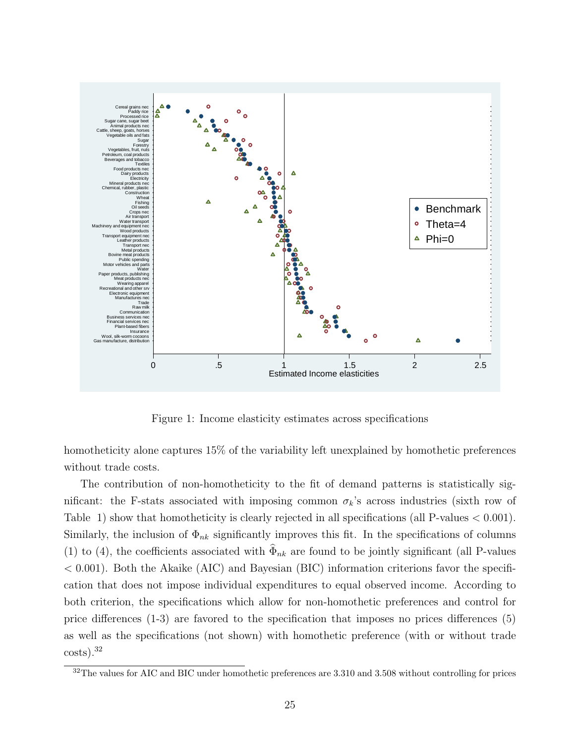

Figure 1: Income elasticity estimates across specifications

homotheticity alone captures 15% of the variability left unexplained by homothetic preferences without trade costs.

The contribution of non-homotheticity to the fit of demand patterns is statistically significant: the F-stats associated with imposing common  $\sigma_k$ 's across industries (sixth row of Table 1) show that homotheticity is clearly rejected in all specifications (all P-values  $< 0.001$ ). Similarly, the inclusion of  $\Phi_{nk}$  significantly improves this fit. In the specifications of columns (1) to (4), the coefficients associated with  $\Phi_{nk}$  are found to be jointly significant (all P-values  $< 0.001$ ). Both the Akaike (AIC) and Bayesian (BIC) information criterions favor the specification that does not impose individual expenditures to equal observed income. According to both criterion, the specifications which allow for non-homothetic preferences and control for price differences (1-3) are favored to the specification that imposes no prices differences (5) as well as the specifications (not shown) with homothetic preference (with or without trade costs).<sup>32</sup>

 $32$ The values for AIC and BIC under homothetic preferences are 3.310 and 3.508 without controlling for prices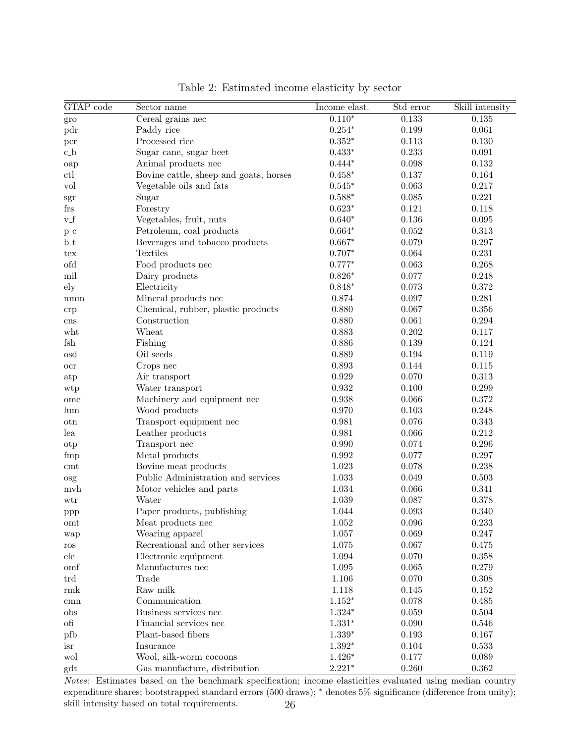| GTAP code            | Sector name                            | Income elast. | Std error   | Skill intensity |
|----------------------|----------------------------------------|---------------|-------------|-----------------|
| $\operatorname{gro}$ | Cereal grains nec                      | $0.110*$      | 0.133       | 0.135           |
| pdr                  | Paddy rice                             | $0.254*$      | 0.199       | 0.061           |
| pcr                  | Processed rice                         | $0.352*$      | 0.113       | 0.130           |
| $c_b$                | Sugar cane, sugar beet                 | $0.433*$      | 0.233       | 0.091           |
| oap                  | Animal products nec                    | $0.444*$      | 0.098       | 0.132           |
| ctl                  | Bovine cattle, sheep and goats, horses | $0.458*$      | 0.137       | 0.164           |
| vol                  | Vegetable oils and fats                | $0.545*$      | 0.063       | 0.217           |
| $\operatorname{sgr}$ | Sugar                                  | $0.588*$      | $\,0.085\,$ | 0.221           |
| frs                  | Forestry                               | $0.623*$      | 0.121       | 0.118           |
| $v_f$                | Vegetables, fruit, nuts                | $0.640*$      | $0.136\,$   | 0.095           |
| $p_{-}c$             | Petroleum, coal products               | $0.664*$      | $0.052\,$   | 0.313           |
| $b_t$                | Beverages and tobacco products         | $0.667*$      | 0.079       | 0.297           |
| tex                  | <b>Textiles</b>                        | $0.707*$      | 0.064       | 0.231           |
| ofd                  | Food products nec                      | $0.777*$      | 0.063       | 0.268           |
| mil                  | Dairy products                         | $0.826*$      | 0.077       | 0.248           |
| ely                  | Electricity                            | $0.848*$      | 0.073       | $0.372\,$       |
| $\text{mmm}$         | Mineral products nec                   | 0.874         | 0.097       | 0.281           |
| crp                  | Chemical, rubber, plastic products     | 0.880         | 0.067       | $0.356\,$       |
| cns                  | Construction                           | 0.880         | 0.061       | 0.294           |
| wht                  | Wheat                                  | 0.883         | $0.202\,$   | 0.117           |
| fsh                  | Fishing                                | 0.886         | $0.139\,$   | 0.124           |
| osd                  | Oil seeds                              | 0.889         | $\,0.194\,$ | 0.119           |
| $_{\rm ocr}$         | Crops nec                              | 0.893         | 0.144       | 0.115           |
| atp                  | Air transport                          | $\,0.929\,$   | 0.070       | 0.313           |
| wtp                  | Water transport                        | 0.932         | 0.100       | 0.299           |
| ome                  | Machinery and equipment nec            | 0.938         | 0.066       | 0.372           |
| lum                  | Wood products                          | 0.970         | 0.103       | 0.248           |
| otn                  | Transport equipment nec                | 0.981         | $0.076\,$   | 0.343           |
| lea                  | Leather products                       | 0.981         | 0.066       | 0.212           |
| otp                  | Transport nec                          | 0.990         | 0.074       | 0.296           |
| fmp                  | Metal products                         | 0.992         | 0.077       | 0.297           |
| cmt                  | Bovine meat products                   | 1.023         | 0.078       | 0.238           |
| osg                  | Public Administration and services     | 1.033         | 0.049       | 0.503           |
| mvh                  | Motor vehicles and parts               | 1.034         | 0.066       | 0.341           |
| wtr                  | Water                                  | 1.039         | 0.087       | 0.378           |
| ppp                  | Paper products, publishing             | 1.044         | 0.093       | 0.340           |
| omt                  | Meat products nec                      | 1.052         | 0.096       | 0.233           |
| wap                  | Wearing apparel                        | 1.057         | 0.069       | 0.247           |
| $\cos$               | Recreational and other services        | $1.075\,$     | 0.067       | 0.475           |
| ele                  | Electronic equipment                   | 1.094         | 0.070       | 0.358           |
| omf                  | Manufactures nec                       | 1.095         | 0.065       | 0.279           |
| trd                  | Trade                                  | 1.106         | 0.070       | 0.308           |
| rmk                  | Raw milk                               | 1.118         | 0.145       | 0.152           |
| cmn                  | Communication                          | $1.152*$      | 0.078       | 0.485           |
| obs                  | Business services nec                  | $1.324*$      | 0.059       | 0.504           |
| $\alpha$             | Financial services nec                 | $1.331*$      | 0.090       | 0.546           |
| pfb                  | Plant-based fibers                     | $1.339*$      | $\,0.193\,$ | 0.167           |
| isr                  | Insurance                              | $1.392*$      | 0.104       | 0.533           |
| wol                  | Wool, silk-worm cocoons                | $1.426*$      | 0.177       | 0.089           |
| gdt                  | Gas manufacture, distribution          | $2.221*$      | 0.260       | 0.362           |

Table 2: Estimated income elasticity by sector

Notes: Estimates based on the benchmark specification; income elasticities evaluated using median country expenditure shares; bootstrapped standard errors (500 draws); \* denotes 5% significance (difference from unity); skill intensity based on total requirements. 26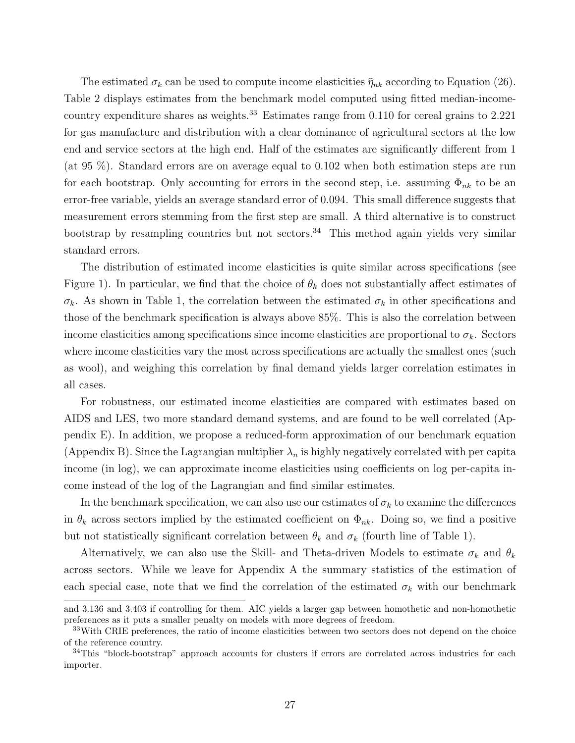The estimated  $\sigma_k$  can be used to compute income elasticities  $\hat{\eta}_{nk}$  according to Equation (26). Table 2 displays estimates from the benchmark model computed using fitted median-incomecountry expenditure shares as weights.<sup>33</sup> Estimates range from  $0.110$  for cereal grains to  $2.221$ for gas manufacture and distribution with a clear dominance of agricultural sectors at the low end and service sectors at the high end. Half of the estimates are significantly different from 1 (at 95 %). Standard errors are on average equal to 0.102 when both estimation steps are run for each bootstrap. Only accounting for errors in the second step, i.e. assuming  $\Phi_{nk}$  to be an error-free variable, yields an average standard error of 0.094. This small difference suggests that measurement errors stemming from the first step are small. A third alternative is to construct bootstrap by resampling countries but not sectors.<sup>34</sup> This method again yields very similar standard errors.

The distribution of estimated income elasticities is quite similar across specifications (see Figure 1). In particular, we find that the choice of  $\theta_k$  does not substantially affect estimates of  $\sigma_k$ . As shown in Table 1, the correlation between the estimated  $\sigma_k$  in other specifications and those of the benchmark specification is always above 85%. This is also the correlation between income elasticities among specifications since income elasticities are proportional to  $\sigma_k$ . Sectors where income elasticities vary the most across specifications are actually the smallest ones (such as wool), and weighing this correlation by final demand yields larger correlation estimates in all cases.

For robustness, our estimated income elasticities are compared with estimates based on AIDS and LES, two more standard demand systems, and are found to be well correlated (Appendix E). In addition, we propose a reduced-form approximation of our benchmark equation (Appendix B). Since the Lagrangian multiplier  $\lambda_n$  is highly negatively correlated with per capita income (in log), we can approximate income elasticities using coefficients on log per-capita income instead of the log of the Lagrangian and find similar estimates.

In the benchmark specification, we can also use our estimates of  $\sigma_k$  to examine the differences in  $\theta_k$  across sectors implied by the estimated coefficient on  $\Phi_{nk}$ . Doing so, we find a positive but not statistically significant correlation between  $\theta_k$  and  $\sigma_k$  (fourth line of Table 1).

Alternatively, we can also use the Skill- and Theta-driven Models to estimate  $\sigma_k$  and  $\theta_k$ across sectors. While we leave for Appendix A the summary statistics of the estimation of each special case, note that we find the correlation of the estimated  $\sigma_k$  with our benchmark

and 3.136 and 3.403 if controlling for them. AIC yields a larger gap between homothetic and non-homothetic preferences as it puts a smaller penalty on models with more degrees of freedom.

<sup>&</sup>lt;sup>33</sup>With CRIE preferences, the ratio of income elasticities between two sectors does not depend on the choice of the reference country.

<sup>&</sup>lt;sup>34</sup>This "block-bootstrap" approach accounts for clusters if errors are correlated across industries for each importer.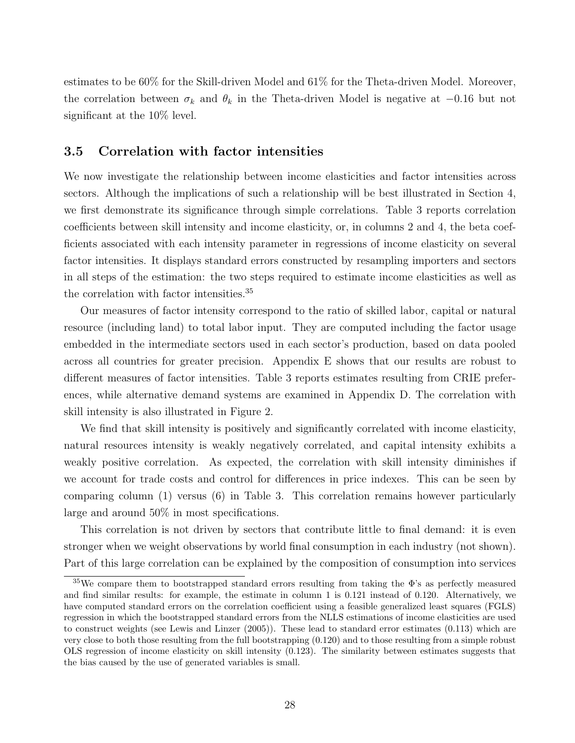estimates to be 60% for the Skill-driven Model and 61% for the Theta-driven Model. Moreover, the correlation between  $\sigma_k$  and  $\theta_k$  in the Theta-driven Model is negative at  $-0.16$  but not significant at the 10% level.

## 3.5 Correlation with factor intensities

We now investigate the relationship between income elasticities and factor intensities across sectors. Although the implications of such a relationship will be best illustrated in Section 4, we first demonstrate its significance through simple correlations. Table 3 reports correlation coefficients between skill intensity and income elasticity, or, in columns 2 and 4, the beta coefficients associated with each intensity parameter in regressions of income elasticity on several factor intensities. It displays standard errors constructed by resampling importers and sectors in all steps of the estimation: the two steps required to estimate income elasticities as well as the correlation with factor intensities.<sup>35</sup>

Our measures of factor intensity correspond to the ratio of skilled labor, capital or natural resource (including land) to total labor input. They are computed including the factor usage embedded in the intermediate sectors used in each sector's production, based on data pooled across all countries for greater precision. Appendix E shows that our results are robust to different measures of factor intensities. Table 3 reports estimates resulting from CRIE preferences, while alternative demand systems are examined in Appendix D. The correlation with skill intensity is also illustrated in Figure 2.

We find that skill intensity is positively and significantly correlated with income elasticity, natural resources intensity is weakly negatively correlated, and capital intensity exhibits a weakly positive correlation. As expected, the correlation with skill intensity diminishes if we account for trade costs and control for differences in price indexes. This can be seen by comparing column (1) versus (6) in Table 3. This correlation remains however particularly large and around 50% in most specifications.

This correlation is not driven by sectors that contribute little to final demand: it is even stronger when we weight observations by world final consumption in each industry (not shown). Part of this large correlation can be explained by the composition of consumption into services

 $35\,\text{We compare them to bootstrapped standard errors resulting from taking the }$   $\Phi$ 's as perfectly measured and find similar results: for example, the estimate in column 1 is 0.121 instead of 0.120. Alternatively, we have computed standard errors on the correlation coefficient using a feasible generalized least squares (FGLS) regression in which the bootstrapped standard errors from the NLLS estimations of income elasticities are used to construct weights (see Lewis and Linzer (2005)). These lead to standard error estimates (0.113) which are very close to both those resulting from the full bootstrapping (0.120) and to those resulting from a simple robust OLS regression of income elasticity on skill intensity (0.123). The similarity between estimates suggests that the bias caused by the use of generated variables is small.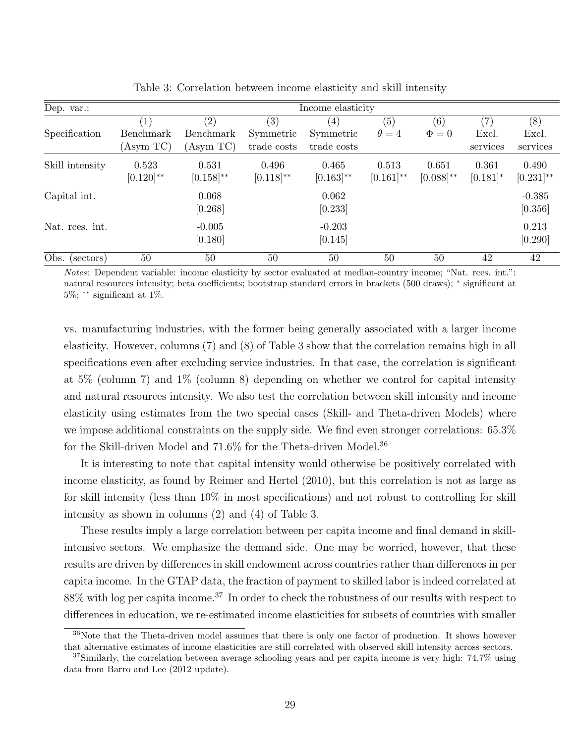| Dep. var.:      | Income elasticity       |                         |                         |                         |                         |                         |                      |                         |
|-----------------|-------------------------|-------------------------|-------------------------|-------------------------|-------------------------|-------------------------|----------------------|-------------------------|
| Specification   | Benchmark               | (2)<br>Benchmark        | (3)<br>Symmetric        | (4)<br>Symmetric        | (5)<br>$\theta = 4$     | (6)<br>$\Phi = 0$       | (7)<br>Excl.         | (8)<br>Excl.            |
|                 | (Asym TC)               | (Asym TC)               | trade costs             | trade costs             |                         |                         | services             | services                |
| Skill intensity | 0.523<br>$[0.120]^{**}$ | 0.531<br>$[0.158]^{**}$ | 0.496<br>$[0.118]^{**}$ | 0.465<br>$[0.163]^{**}$ | 0.513<br>$[0.161]^{**}$ | 0.651<br>$[0.088]^{**}$ | 0.361<br>$[0.181]$ * | 0.490<br>$[0.231]^{**}$ |
| Capital int.    |                         | 0.068<br>[0.268]        |                         | 0.062<br>[0.233]        |                         |                         |                      | $-0.385$<br>[0.356]     |
| Nat. rees. int. |                         | $-0.005$<br>[0.180]     |                         | $-0.203$<br>[0.145]     |                         |                         |                      | 0.213<br>[0.290]        |
| Obs. (sectors)  | 50                      | 50                      | 50                      | 50                      | 50                      | 50                      | 42                   | 42                      |

Table 3: Correlation between income elasticity and skill intensity

Notes: Dependent variable: income elasticity by sector evaluated at median-country income; "Nat. rces. int.": natural resources intensity; beta coefficients; bootstrap standard errors in brackets (500 draws); <sup>∗</sup> significant at  $5\%$ ; \*\* significant at 1\%.

vs. manufacturing industries, with the former being generally associated with a larger income elasticity. However, columns (7) and (8) of Table 3 show that the correlation remains high in all specifications even after excluding service industries. In that case, the correlation is significant at 5% (column 7) and 1% (column 8) depending on whether we control for capital intensity and natural resources intensity. We also test the correlation between skill intensity and income elasticity using estimates from the two special cases (Skill- and Theta-driven Models) where we impose additional constraints on the supply side. We find even stronger correlations: 65.3% for the Skill-driven Model and 71.6% for the Theta-driven Model.<sup>36</sup>

It is interesting to note that capital intensity would otherwise be positively correlated with income elasticity, as found by Reimer and Hertel (2010), but this correlation is not as large as for skill intensity (less than 10% in most specifications) and not robust to controlling for skill intensity as shown in columns (2) and (4) of Table 3.

These results imply a large correlation between per capita income and final demand in skillintensive sectors. We emphasize the demand side. One may be worried, however, that these results are driven by differences in skill endowment across countries rather than differences in per capita income. In the GTAP data, the fraction of payment to skilled labor is indeed correlated at 88% with log per capita income.<sup>37</sup> In order to check the robustness of our results with respect to differences in education, we re-estimated income elasticities for subsets of countries with smaller

<sup>36</sup>Note that the Theta-driven model assumes that there is only one factor of production. It shows however that alternative estimates of income elasticities are still correlated with observed skill intensity across sectors.

<sup>37</sup>Similarly, the correlation between average schooling years and per capita income is very high: 74.7% using data from Barro and Lee (2012 update).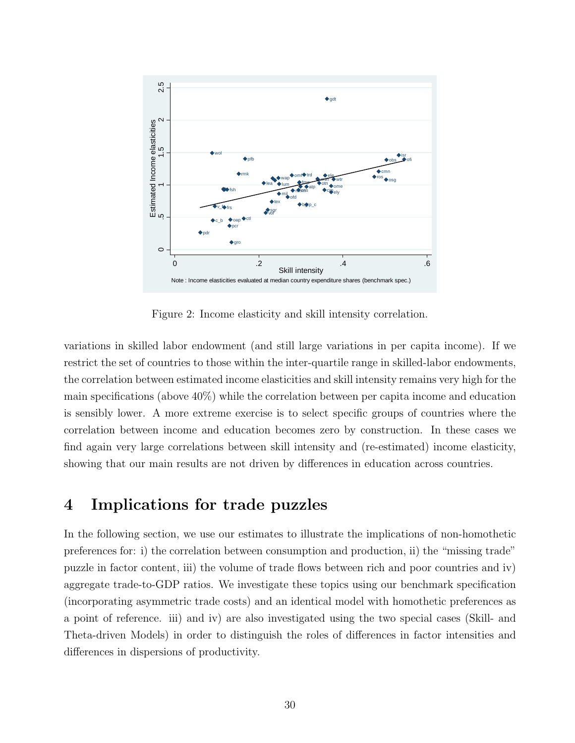

Figure 2: Income elasticity and skill intensity correlation.

variations in skilled labor endowment (and still large variations in per capita income). If we restrict the set of countries to those within the inter-quartile range in skilled-labor endowments, the correlation between estimated income elasticities and skill intensity remains very high for the main specifications (above 40%) while the correlation between per capita income and education is sensibly lower. A more extreme exercise is to select specific groups of countries where the correlation between income and education becomes zero by construction. In these cases we find again very large correlations between skill intensity and (re-estimated) income elasticity, showing that our main results are not driven by differences in education across countries.

## 4 Implications for trade puzzles

In the following section, we use our estimates to illustrate the implications of non-homothetic preferences for: i) the correlation between consumption and production, ii) the "missing trade" puzzle in factor content, iii) the volume of trade flows between rich and poor countries and iv) aggregate trade-to-GDP ratios. We investigate these topics using our benchmark specification (incorporating asymmetric trade costs) and an identical model with homothetic preferences as a point of reference. iii) and iv) are also investigated using the two special cases (Skill- and Theta-driven Models) in order to distinguish the roles of differences in factor intensities and differences in dispersions of productivity.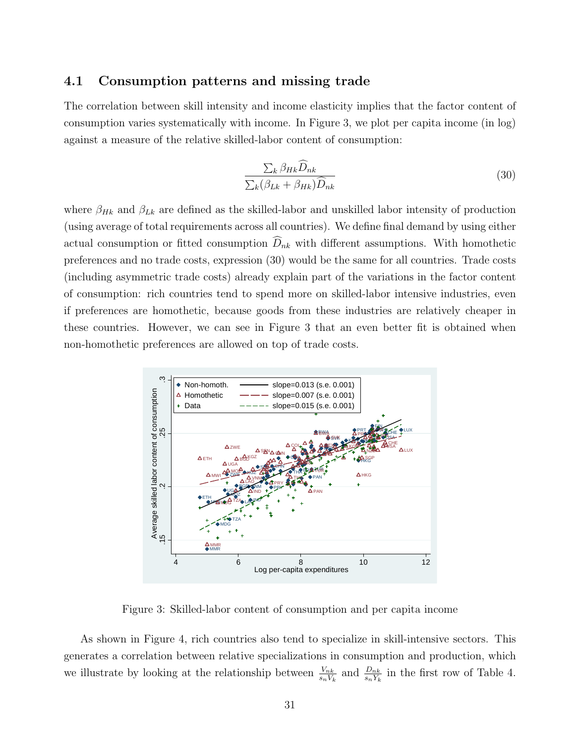### 4.1 Consumption patterns and missing trade

The correlation between skill intensity and income elasticity implies that the factor content of consumption varies systematically with income. In Figure 3, we plot per capita income (in log) against a measure of the relative skilled-labor content of consumption:

$$
\frac{\sum_{k} \beta_{Hk} \widehat{D}_{nk}}{\sum_{k} (\beta_{Lk} + \beta_{Hk}) \widehat{D}_{nk}}
$$
(30)

where  $\beta_{Hk}$  and  $\beta_{Lk}$  are defined as the skilled-labor and unskilled labor intensity of production (using average of total requirements across all countries). We define final demand by using either actual consumption or fitted consumption  $\widehat{D}_{nk}$  with different assumptions. With homothetic preferences and no trade costs, expression (30) would be the same for all countries. Trade costs (including asymmetric trade costs) already explain part of the variations in the factor content of consumption: rich countries tend to spend more on skilled-labor intensive industries, even if preferences are homothetic, because goods from these industries are relatively cheaper in these countries. However, we can see in Figure 3 that an even better fit is obtained when non-homothetic preferences are allowed on top of trade costs.



Figure 3: Skilled-labor content of consumption and per capita income

As shown in Figure 4, rich countries also tend to specialize in skill-intensive sectors. This generates a correlation between relative specializations in consumption and production, which we illustrate by looking at the relationship between  $\frac{V_{nk}}{s_n V_k}$  and  $\frac{D_{nk}}{s_n Y_k}$  in the first row of Table 4.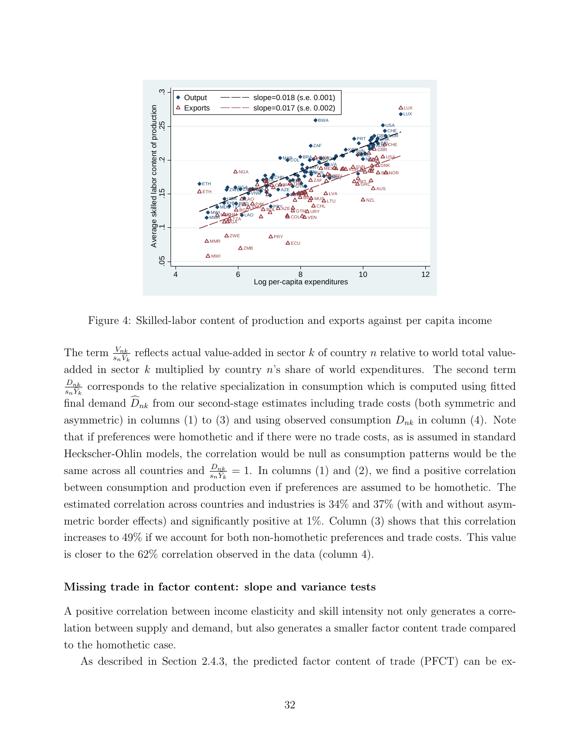

Figure 4: Skilled-labor content of production and exports against per capita income

The term  $\frac{V_{nk}}{s_n V_k}$  reflects actual value-added in sector k of country n relative to world total valueadded in sector k multiplied by country  $n$ 's share of world expenditures. The second term  $\frac{D_{nk}}{s_nY_k}$  corresponds to the relative specialization in consumption which is computed using fitted final demand  $\widehat{D}_{nk}$  from our second-stage estimates including trade costs (both symmetric and asymmetric) in columns (1) to (3) and using observed consumption  $D_{nk}$  in column (4). Note that if preferences were homothetic and if there were no trade costs, as is assumed in standard Heckscher-Ohlin models, the correlation would be null as consumption patterns would be the same across all countries and  $\frac{D_{nk}}{s_n Y_k} = 1$ . In columns (1) and (2), we find a positive correlation between consumption and production even if preferences are assumed to be homothetic. The estimated correlation across countries and industries is 34% and 37% (with and without asymmetric border effects) and significantly positive at 1%. Column (3) shows that this correlation increases to 49% if we account for both non-homothetic preferences and trade costs. This value is closer to the 62% correlation observed in the data (column 4).

#### Missing trade in factor content: slope and variance tests

A positive correlation between income elasticity and skill intensity not only generates a correlation between supply and demand, but also generates a smaller factor content trade compared to the homothetic case.

As described in Section 2.4.3, the predicted factor content of trade (PFCT) can be ex-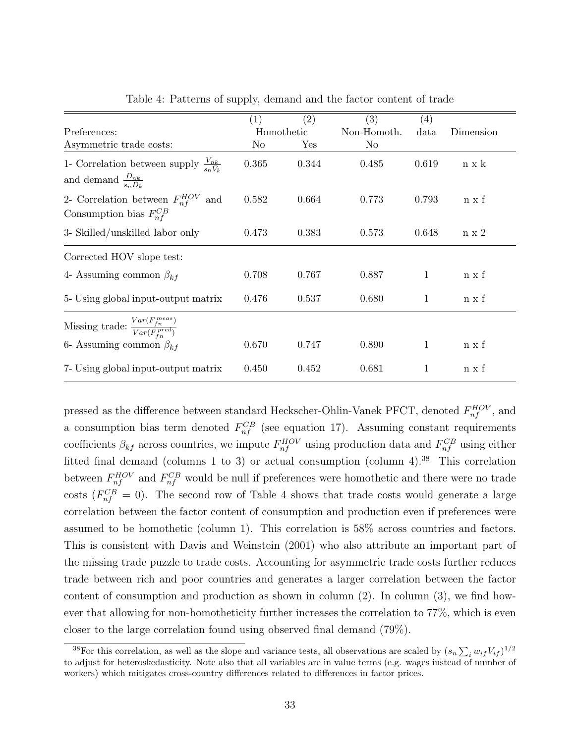|                                                                                                     | $\left(1\right)$ | (2)   | (3)         | $\left( 4\right)$ |              |
|-----------------------------------------------------------------------------------------------------|------------------|-------|-------------|-------------------|--------------|
| Preferences:                                                                                        | Homothetic       |       | Non-Homoth. | data              | Dimension    |
| Asymmetric trade costs:                                                                             | No               | Yes   | $\rm No$    |                   |              |
| 1- Correlation between supply $\frac{V_{nk}}{s_n \bar{V}_l}$<br>and demand $\frac{D_{nk}}{s_n D_k}$ | 0.365            | 0.344 | 0.485       | 0.619             | $n \times k$ |
| 2- Correlation between $F_{nf}^{HOV}$ and<br>Consumption bias $F_{nf}^{CB}$                         | 0.582            | 0.664 | 0.773       | 0.793             | $n \times f$ |
| 3- Skilled/unskilled labor only                                                                     | 0.473            | 0.383 | 0.573       | 0.648             | $n \times 2$ |
| Corrected HOV slope test:                                                                           |                  |       |             |                   |              |
| 4- Assuming common $\beta_{kf}$                                                                     | 0.708            | 0.767 | 0.887       | 1                 | n x f        |
| 5- Using global input-output matrix                                                                 | 0.476            | 0.537 | 0.680       | 1                 | $n \times f$ |
| Missing trade: $\frac{Var(F_{fn}^{meas})}{Var(F_{fn}^{pred})}$                                      |                  |       |             |                   |              |
| 6- Assuming common $\beta_{kf}$                                                                     | 0.670            | 0.747 | 0.890       | 1                 | n x f        |
| 7- Using global input-output matrix                                                                 | 0.450            | 0.452 | 0.681       | 1                 | $n \times f$ |

Table 4: Patterns of supply, demand and the factor content of trade

pressed as the difference between standard Heckscher-Ohlin-Vanek PFCT, denoted  $F_{nf}^{HOV}$ , and a consumption bias term denoted  $F_{nf}^{CB}$  (see equation 17). Assuming constant requirements coefficients  $\beta_{kf}$  across countries, we impute  $F_{nf}^{HOV}$  using production data and  $F_{nf}^{CB}$  using either fitted final demand (columns 1 to 3) or actual consumption (column 4).<sup>38</sup> This correlation between  $F_{nf}^{HOV}$  and  $F_{nf}^{CB}$  would be null if preferences were homothetic and there were no trade costs  $(F_{nf}^{CB} = 0)$ . The second row of Table 4 shows that trade costs would generate a large correlation between the factor content of consumption and production even if preferences were assumed to be homothetic (column 1). This correlation is 58% across countries and factors. This is consistent with Davis and Weinstein (2001) who also attribute an important part of the missing trade puzzle to trade costs. Accounting for asymmetric trade costs further reduces trade between rich and poor countries and generates a larger correlation between the factor content of consumption and production as shown in column (2). In column (3), we find however that allowing for non-homotheticity further increases the correlation to 77%, which is even closer to the large correlation found using observed final demand (79%).

<sup>&</sup>lt;sup>38</sup>For this correlation, as well as the slope and variance tests, all observations are scaled by  $(s_n \sum_i w_{if} V_{if})^{1/2}$ to adjust for heteroskedasticity. Note also that all variables are in value terms (e.g. wages instead of number of workers) which mitigates cross-country differences related to differences in factor prices.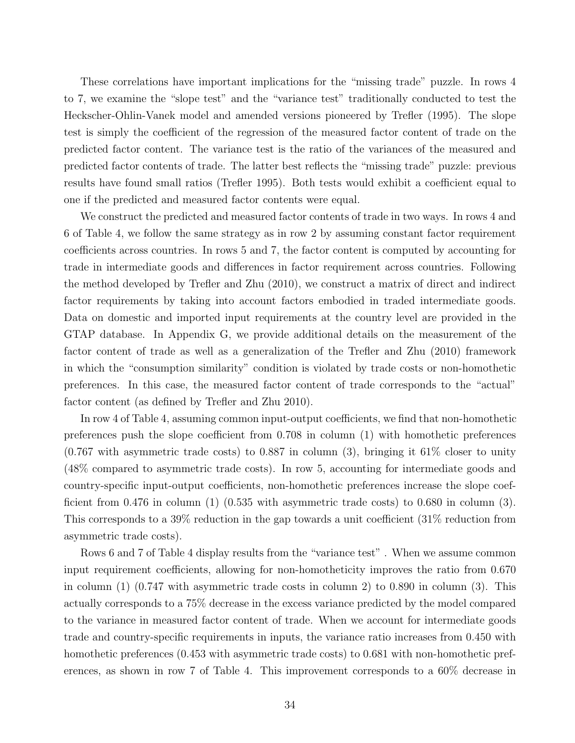These correlations have important implications for the "missing trade" puzzle. In rows 4 to 7, we examine the "slope test" and the "variance test" traditionally conducted to test the Heckscher-Ohlin-Vanek model and amended versions pioneered by Trefler (1995). The slope test is simply the coefficient of the regression of the measured factor content of trade on the predicted factor content. The variance test is the ratio of the variances of the measured and predicted factor contents of trade. The latter best reflects the "missing trade" puzzle: previous results have found small ratios (Trefler 1995). Both tests would exhibit a coefficient equal to one if the predicted and measured factor contents were equal.

We construct the predicted and measured factor contents of trade in two ways. In rows 4 and 6 of Table 4, we follow the same strategy as in row 2 by assuming constant factor requirement coefficients across countries. In rows 5 and 7, the factor content is computed by accounting for trade in intermediate goods and differences in factor requirement across countries. Following the method developed by Trefler and Zhu (2010), we construct a matrix of direct and indirect factor requirements by taking into account factors embodied in traded intermediate goods. Data on domestic and imported input requirements at the country level are provided in the GTAP database. In Appendix G, we provide additional details on the measurement of the factor content of trade as well as a generalization of the Trefler and Zhu (2010) framework in which the "consumption similarity" condition is violated by trade costs or non-homothetic preferences. In this case, the measured factor content of trade corresponds to the "actual" factor content (as defined by Trefler and Zhu 2010).

In row 4 of Table 4, assuming common input-output coefficients, we find that non-homothetic preferences push the slope coefficient from 0.708 in column (1) with homothetic preferences  $(0.767 \text{ with asymmetric trade costs})$  to 0.887 in column (3), bringing it 61% closer to unity (48% compared to asymmetric trade costs). In row 5, accounting for intermediate goods and country-specific input-output coefficients, non-homothetic preferences increase the slope coefficient from  $0.476$  in column  $(1)$   $(0.535$  with asymmetric trade costs) to  $0.680$  in column  $(3)$ . This corresponds to a 39% reduction in the gap towards a unit coefficient (31% reduction from asymmetric trade costs).

Rows 6 and 7 of Table 4 display results from the "variance test" . When we assume common input requirement coefficients, allowing for non-homotheticity improves the ratio from 0.670 in column (1) (0.747 with asymmetric trade costs in column 2) to 0.890 in column (3). This actually corresponds to a 75% decrease in the excess variance predicted by the model compared to the variance in measured factor content of trade. When we account for intermediate goods trade and country-specific requirements in inputs, the variance ratio increases from 0.450 with homothetic preferences (0.453 with asymmetric trade costs) to 0.681 with non-homothetic preferences, as shown in row 7 of Table 4. This improvement corresponds to a 60% decrease in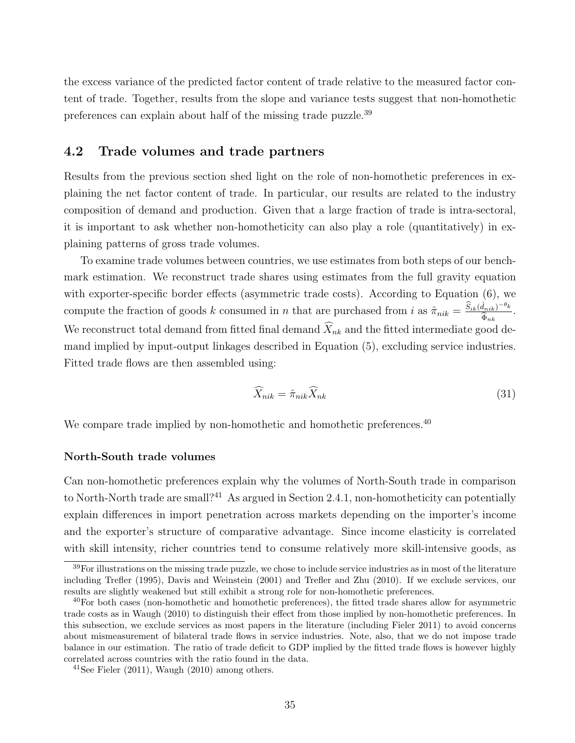the excess variance of the predicted factor content of trade relative to the measured factor content of trade. Together, results from the slope and variance tests suggest that non-homothetic preferences can explain about half of the missing trade puzzle.<sup>39</sup>

## 4.2 Trade volumes and trade partners

Results from the previous section shed light on the role of non-homothetic preferences in explaining the net factor content of trade. In particular, our results are related to the industry composition of demand and production. Given that a large fraction of trade is intra-sectoral, it is important to ask whether non-homotheticity can also play a role (quantitatively) in explaining patterns of gross trade volumes.

To examine trade volumes between countries, we use estimates from both steps of our benchmark estimation. We reconstruct trade shares using estimates from the full gravity equation with exporter-specific border effects (asymmetric trade costs). According to Equation  $(6)$ , we compute the fraction of goods k consumed in n that are purchased from i as  $\hat{\pi}_{nik} = \frac{\hat{S}_{ik}(\hat{d}_{nik}) - \theta_k}{\hat{\hat{\pi}}}$ .  $\Phi_{nk}$ We reconstruct total demand from fitted final demand  $X_{nk}$  and the fitted intermediate good demand implied by input-output linkages described in Equation (5), excluding service industries. Fitted trade flows are then assembled using:

$$
\widehat{X}_{nik} = \widehat{\pi}_{nik} \widehat{X}_{nk} \tag{31}
$$

We compare trade implied by non-homothetic and homothetic preferences.<sup>40</sup>

#### North-South trade volumes

Can non-homothetic preferences explain why the volumes of North-South trade in comparison to North-North trade are small?<sup>41</sup> As argued in Section 2.4.1, non-homotheticity can potentially explain differences in import penetration across markets depending on the importer's income and the exporter's structure of comparative advantage. Since income elasticity is correlated with skill intensity, richer countries tend to consume relatively more skill-intensive goods, as

 $39$ For illustrations on the missing trade puzzle, we chose to include service industries as in most of the literature including Trefler (1995), Davis and Weinstein (2001) and Trefler and Zhu (2010). If we exclude services, our results are slightly weakened but still exhibit a strong role for non-homothetic preferences.

 $^{40}$ For both cases (non-homothetic and homothetic preferences), the fitted trade shares allow for asymmetric trade costs as in Waugh (2010) to distinguish their effect from those implied by non-homothetic preferences. In this subsection, we exclude services as most papers in the literature (including Fieler 2011) to avoid concerns about mismeasurement of bilateral trade flows in service industries. Note, also, that we do not impose trade balance in our estimation. The ratio of trade deficit to GDP implied by the fitted trade flows is however highly correlated across countries with the ratio found in the data.

 $^{41}$ See Fieler (2011), Waugh (2010) among others.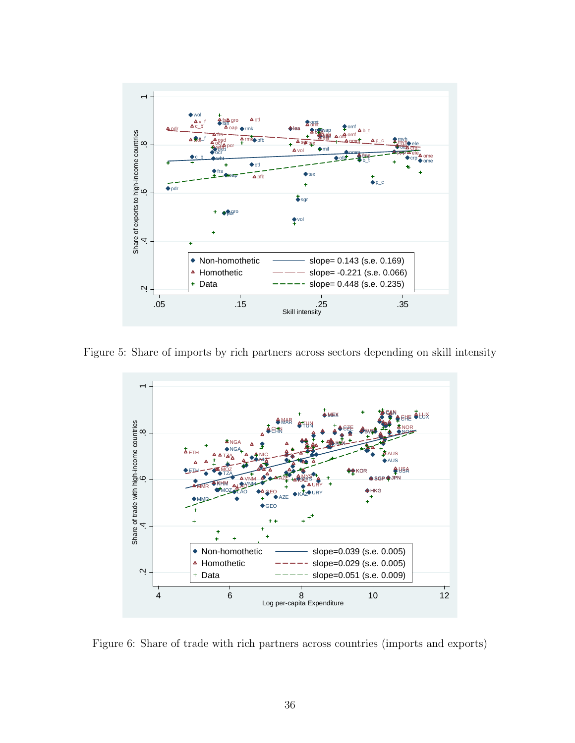

Figure 5: Share of imports by rich partners across sectors depending on skill intensity



Figure 6: Share of trade with rich partners across countries (imports and exports)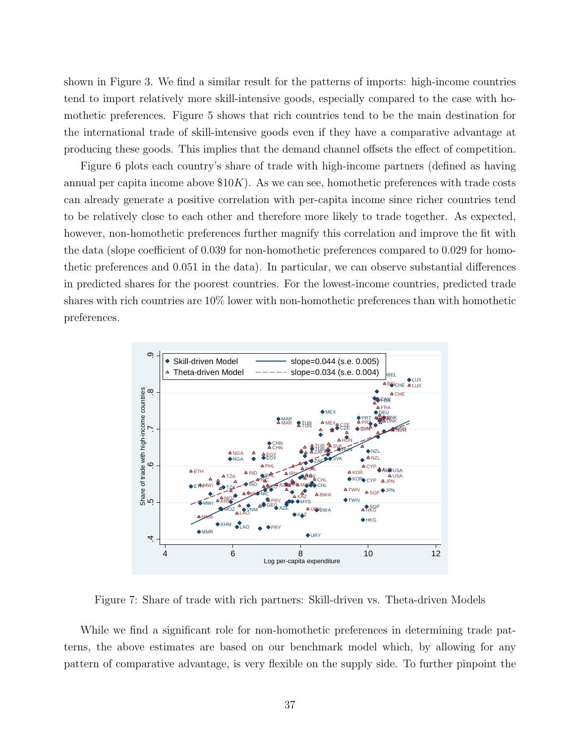shown in Figure 3. We find a similar result for the patterns of imports: high-income countries tend to import relatively more skill-intensive goods, especially compared to the case with homothetic preferences. Figure 5 shows that rich countries tend to be the main destination for the international trade of skill-intensive goods even if they have a comparative advantage at producing these goods. This implies that the demand channel offsets the effect of competition.

Figure 6 plots each country's share of trade with high-income partners (defined as having annual per capita income above  $$10K$ ). As we can see, homothetic preferences with trade costs can already generate a positive correlation with per-capita income since richer countries tend to be relatively close to each other and therefore more likely to trade together. As expected, however, non-homothetic preferences further magnify this correlation and improve the fit with the data (slope coefficient of 0.039 for non-homothetic preferences compared to 0.029 for homothetic preferences and 0.051 in the data). In particular, we can observe substantial differences in predicted shares for the poorest countries. For the lowest-income countries, predicted trade shares with rich countries are 10% lower with non-homothetic preferences than with homothetic preferences.



Figure 7: Share of trade with rich partners: Skill-driven vs. Theta-driven Models

While we find a significant role for non-homothetic preferences in determining trade patterns, the above estimates are based on our benchmark model which, by allowing for any pattern of comparative advantage, is very flexible on the supply side. To further pinpoint the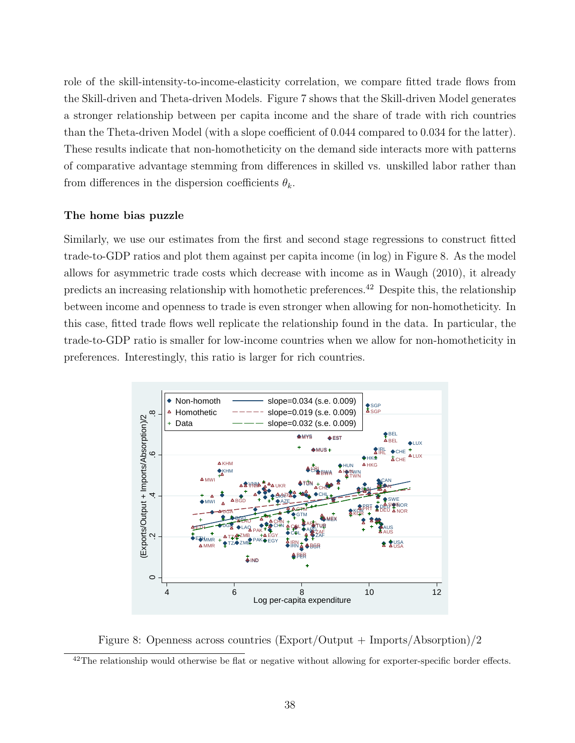role of the skill-intensity-to-income-elasticity correlation, we compare fitted trade flows from the Skill-driven and Theta-driven Models. Figure 7 shows that the Skill-driven Model generates a stronger relationship between per capita income and the share of trade with rich countries than the Theta-driven Model (with a slope coefficient of 0.044 compared to 0.034 for the latter). These results indicate that non-homotheticity on the demand side interacts more with patterns of comparative advantage stemming from differences in skilled vs. unskilled labor rather than from differences in the dispersion coefficients  $\theta_k$ .

### The home bias puzzle

Similarly, we use our estimates from the first and second stage regressions to construct fitted trade-to-GDP ratios and plot them against per capita income (in log) in Figure 8. As the model allows for asymmetric trade costs which decrease with income as in Waugh (2010), it already predicts an increasing relationship with homothetic preferences.<sup>42</sup> Despite this, the relationship between income and openness to trade is even stronger when allowing for non-homotheticity. In this case, fitted trade flows well replicate the relationship found in the data. In particular, the trade-to-GDP ratio is smaller for low-income countries when we allow for non-homotheticity in preferences. Interestingly, this ratio is larger for rich countries.



Figure 8: Openness across countries (Export/Output + Imports/Absorption)/2

 $42$ The relationship would otherwise be flat or negative without allowing for exporter-specific border effects.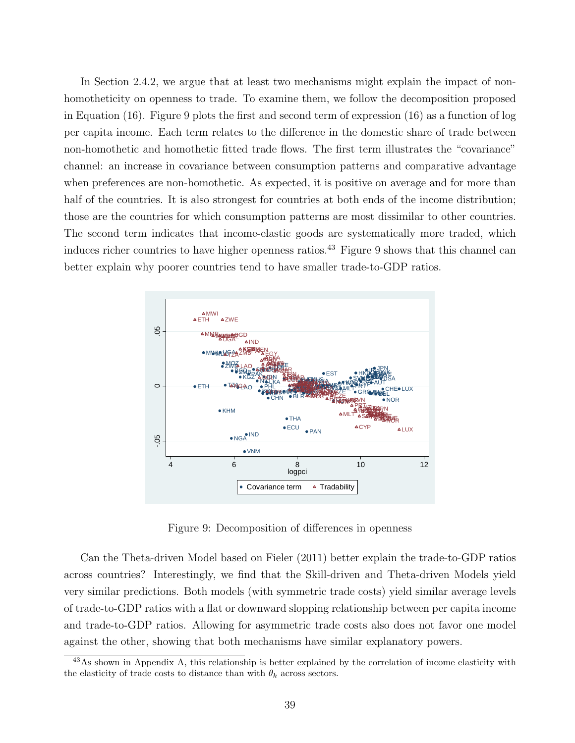In Section 2.4.2, we argue that at least two mechanisms might explain the impact of nonhomotheticity on openness to trade. To examine them, we follow the decomposition proposed in Equation (16). Figure 9 plots the first and second term of expression (16) as a function of log per capita income. Each term relates to the difference in the domestic share of trade between non-homothetic and homothetic fitted trade flows. The first term illustrates the "covariance" channel: an increase in covariance between consumption patterns and comparative advantage when preferences are non-homothetic. As expected, it is positive on average and for more than half of the countries. It is also strongest for countries at both ends of the income distribution; those are the countries for which consumption patterns are most dissimilar to other countries. The second term indicates that income-elastic goods are systematically more traded, which induces richer countries to have higher openness ratios.<sup>43</sup> Figure 9 shows that this channel can better explain why poorer countries tend to have smaller trade-to-GDP ratios.



Figure 9: Decomposition of differences in openness

Can the Theta-driven Model based on Fieler (2011) better explain the trade-to-GDP ratios across countries? Interestingly, we find that the Skill-driven and Theta-driven Models yield very similar predictions. Both models (with symmetric trade costs) yield similar average levels of trade-to-GDP ratios with a flat or downward slopping relationship between per capita income and trade-to-GDP ratios. Allowing for asymmetric trade costs also does not favor one model against the other, showing that both mechanisms have similar explanatory powers.

<sup>&</sup>lt;sup>43</sup>As shown in Appendix A, this relationship is better explained by the correlation of income elasticity with the elasticity of trade costs to distance than with  $\theta_k$  across sectors.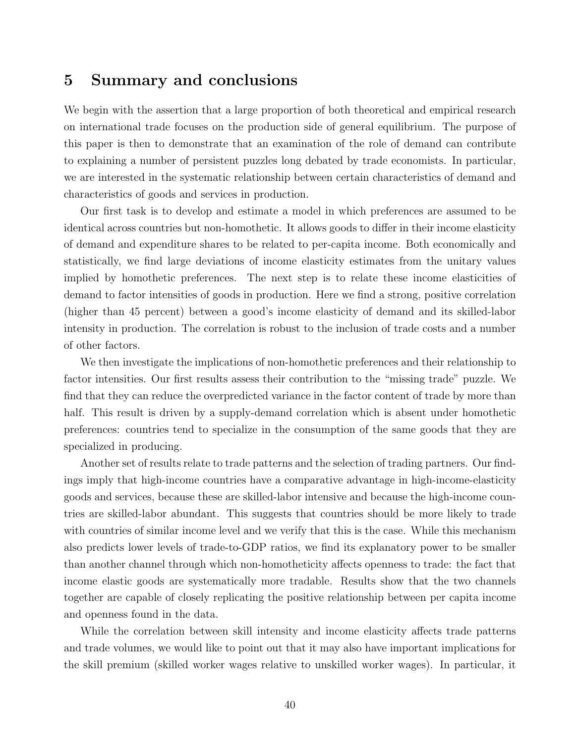## 5 Summary and conclusions

We begin with the assertion that a large proportion of both theoretical and empirical research on international trade focuses on the production side of general equilibrium. The purpose of this paper is then to demonstrate that an examination of the role of demand can contribute to explaining a number of persistent puzzles long debated by trade economists. In particular, we are interested in the systematic relationship between certain characteristics of demand and characteristics of goods and services in production.

Our first task is to develop and estimate a model in which preferences are assumed to be identical across countries but non-homothetic. It allows goods to differ in their income elasticity of demand and expenditure shares to be related to per-capita income. Both economically and statistically, we find large deviations of income elasticity estimates from the unitary values implied by homothetic preferences. The next step is to relate these income elasticities of demand to factor intensities of goods in production. Here we find a strong, positive correlation (higher than 45 percent) between a good's income elasticity of demand and its skilled-labor intensity in production. The correlation is robust to the inclusion of trade costs and a number of other factors.

We then investigate the implications of non-homothetic preferences and their relationship to factor intensities. Our first results assess their contribution to the "missing trade" puzzle. We find that they can reduce the overpredicted variance in the factor content of trade by more than half. This result is driven by a supply-demand correlation which is absent under homothetic preferences: countries tend to specialize in the consumption of the same goods that they are specialized in producing.

Another set of results relate to trade patterns and the selection of trading partners. Our findings imply that high-income countries have a comparative advantage in high-income-elasticity goods and services, because these are skilled-labor intensive and because the high-income countries are skilled-labor abundant. This suggests that countries should be more likely to trade with countries of similar income level and we verify that this is the case. While this mechanism also predicts lower levels of trade-to-GDP ratios, we find its explanatory power to be smaller than another channel through which non-homotheticity affects openness to trade: the fact that income elastic goods are systematically more tradable. Results show that the two channels together are capable of closely replicating the positive relationship between per capita income and openness found in the data.

While the correlation between skill intensity and income elasticity affects trade patterns and trade volumes, we would like to point out that it may also have important implications for the skill premium (skilled worker wages relative to unskilled worker wages). In particular, it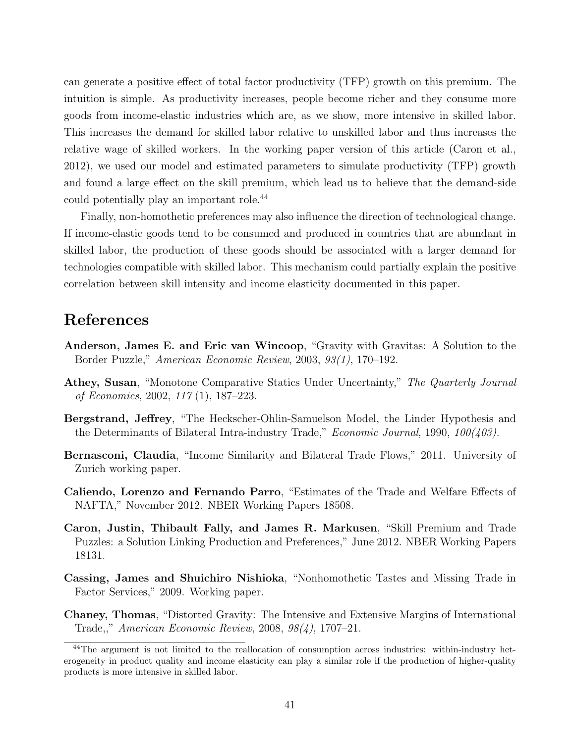can generate a positive effect of total factor productivity (TFP) growth on this premium. The intuition is simple. As productivity increases, people become richer and they consume more goods from income-elastic industries which are, as we show, more intensive in skilled labor. This increases the demand for skilled labor relative to unskilled labor and thus increases the relative wage of skilled workers. In the working paper version of this article (Caron et al., 2012), we used our model and estimated parameters to simulate productivity (TFP) growth and found a large effect on the skill premium, which lead us to believe that the demand-side could potentially play an important role.<sup>44</sup>

Finally, non-homothetic preferences may also influence the direction of technological change. If income-elastic goods tend to be consumed and produced in countries that are abundant in skilled labor, the production of these goods should be associated with a larger demand for technologies compatible with skilled labor. This mechanism could partially explain the positive correlation between skill intensity and income elasticity documented in this paper.

## References

- Anderson, James E. and Eric van Wincoop, "Gravity with Gravitas: A Solution to the Border Puzzle," American Economic Review, 2003, 93(1), 170–192.
- Athey, Susan, "Monotone Comparative Statics Under Uncertainty," The Quarterly Journal of Economics, 2002, 117 (1), 187–223.
- Bergstrand, Jeffrey, "The Heckscher-Ohlin-Samuelson Model, the Linder Hypothesis and the Determinants of Bilateral Intra-industry Trade," *Economic Journal*, 1990,  $100(403)$ .
- Bernasconi, Claudia, "Income Similarity and Bilateral Trade Flows," 2011. University of Zurich working paper.
- Caliendo, Lorenzo and Fernando Parro, "Estimates of the Trade and Welfare Effects of NAFTA," November 2012. NBER Working Papers 18508.
- Caron, Justin, Thibault Fally, and James R. Markusen, "Skill Premium and Trade Puzzles: a Solution Linking Production and Preferences," June 2012. NBER Working Papers 18131.
- Cassing, James and Shuichiro Nishioka, "Nonhomothetic Tastes and Missing Trade in Factor Services," 2009. Working paper.
- Chaney, Thomas, "Distorted Gravity: The Intensive and Extensive Margins of International Trade,," American Economic Review, 2008, 98(4), 1707–21.

<sup>&</sup>lt;sup>44</sup>The argument is not limited to the reallocation of consumption across industries: within-industry heterogeneity in product quality and income elasticity can play a similar role if the production of higher-quality products is more intensive in skilled labor.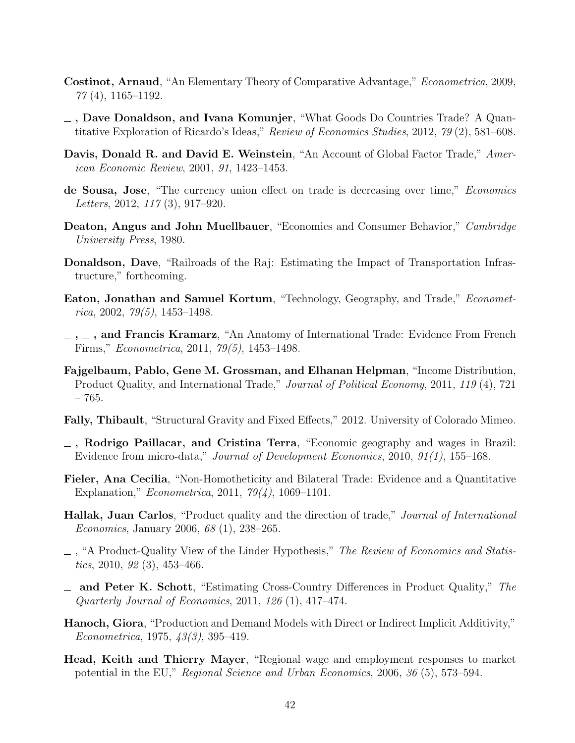- Costinot, Arnaud, "An Elementary Theory of Comparative Advantage," Econometrica, 2009, 77 (4), 1165–1192.
- , Dave Donaldson, and Ivana Komunjer, "What Goods Do Countries Trade? A Quantitative Exploration of Ricardo's Ideas," Review of Economics Studies, 2012, 79 (2), 581–608.
- Davis, Donald R. and David E. Weinstein, "An Account of Global Factor Trade," American Economic Review, 2001, 91, 1423–1453.
- de Sousa, Jose, "The currency union effect on trade is decreasing over time," *Economics* Letters, 2012, 117 (3), 917–920.
- Deaton, Angus and John Muellbauer, "Economics and Consumer Behavior," Cambridge University Press, 1980.
- Donaldson, Dave, "Railroads of the Raj: Estimating the Impact of Transportation Infrastructure," forthcoming.
- Eaton, Jonathan and Samuel Kortum, "Technology, Geography, and Trade," Economet $rica, 2002, 79(5), 1453-1498.$
- $, \ldots$ , and Francis Kramarz, "An Anatomy of International Trade: Evidence From French Firms," Econometrica, 2011, 79(5), 1453–1498.
- Fajgelbaum, Pablo, Gene M. Grossman, and Elhanan Helpman, "Income Distribution, Product Quality, and International Trade," Journal of Political Economy, 2011, 119 (4), 721 – 765.
- Fally, Thibault, "Structural Gravity and Fixed Effects," 2012. University of Colorado Mimeo.
- , Rodrigo Paillacar, and Cristina Terra, "Economic geography and wages in Brazil: Evidence from micro-data," Journal of Development Economics, 2010, 91(1), 155–168.
- Fieler, Ana Cecilia, "Non-Homotheticity and Bilateral Trade: Evidence and a Quantitative Explanation," *Econometrica*, 2011,  $79(4)$ , 1069–1101.
- Hallak, Juan Carlos, "Product quality and the direction of trade," Journal of International Economics, January 2006, 68 (1), 238–265.
- $-$ , "A Product-Quality View of the Linder Hypothesis," The Review of Economics and Statistics, 2010, 92 (3), 453–466.
- and Peter K. Schott, "Estimating Cross-Country Differences in Product Quality," The Quarterly Journal of Economics, 2011, 126 (1), 417–474.
- Hanoch, Giora, "Production and Demand Models with Direct or Indirect Implicit Additivity," Econometrica, 1975, 43(3), 395–419.
- Head, Keith and Thierry Mayer, "Regional wage and employment responses to market potential in the EU," Regional Science and Urban Economics, 2006, 36 (5), 573–594.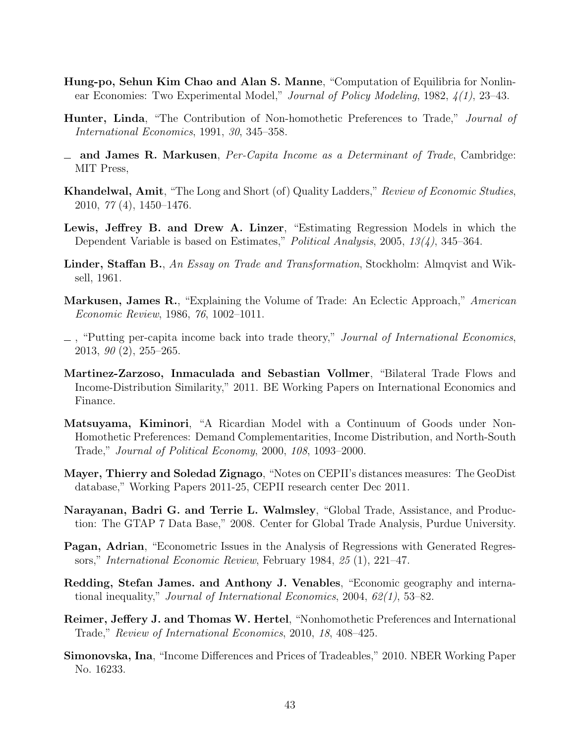- Hung-po, Sehun Kim Chao and Alan S. Manne, "Computation of Equilibria for Nonlinear Economies: Two Experimental Model," Journal of Policy Modeling, 1982, 4(1), 23–43.
- **Hunter, Linda**, "The Contribution of Non-homothetic Preferences to Trade," *Journal of* International Economics, 1991, 30, 345–358.
- $\equiv$  and James R. Markusen, Per-Capita Income as a Determinant of Trade, Cambridge: MIT Press,
- Khandelwal, Amit, "The Long and Short (of) Quality Ladders," Review of Economic Studies, 2010, 77 (4), 1450–1476.
- Lewis, Jeffrey B. and Drew A. Linzer, "Estimating Regression Models in which the Dependent Variable is based on Estimates," Political Analysis, 2005, 13(4), 345–364.
- Linder, Staffan B., An Essay on Trade and Transformation, Stockholm: Almqvist and Wiksell, 1961.
- Markusen, James R., "Explaining the Volume of Trade: An Eclectic Approach," American Economic Review, 1986, 76, 1002–1011.
- $\Box$ , "Putting per-capita income back into trade theory," *Journal of International Economics*, 2013, 90 (2), 255–265.
- Martinez-Zarzoso, Inmaculada and Sebastian Vollmer, "Bilateral Trade Flows and Income-Distribution Similarity," 2011. BE Working Papers on International Economics and Finance.
- Matsuyama, Kiminori, "A Ricardian Model with a Continuum of Goods under Non-Homothetic Preferences: Demand Complementarities, Income Distribution, and North-South Trade," Journal of Political Economy, 2000, 108, 1093–2000.
- Mayer, Thierry and Soledad Zignago, "Notes on CEPII's distances measures: The GeoDist database," Working Papers 2011-25, CEPII research center Dec 2011.
- Narayanan, Badri G. and Terrie L. Walmsley, "Global Trade, Assistance, and Production: The GTAP 7 Data Base," 2008. Center for Global Trade Analysis, Purdue University.
- Pagan, Adrian, "Econometric Issues in the Analysis of Regressions with Generated Regressors," International Economic Review, February 1984, 25 (1), 221–47.
- Redding, Stefan James. and Anthony J. Venables, "Economic geography and international inequality," *Journal of International Economics*, 2004,  $62(1)$ , 53–82.
- Reimer, Jeffery J. and Thomas W. Hertel, "Nonhomothetic Preferences and International Trade," Review of International Economics, 2010, 18, 408–425.
- Simonovska, Ina, "Income Differences and Prices of Tradeables," 2010. NBER Working Paper No. 16233.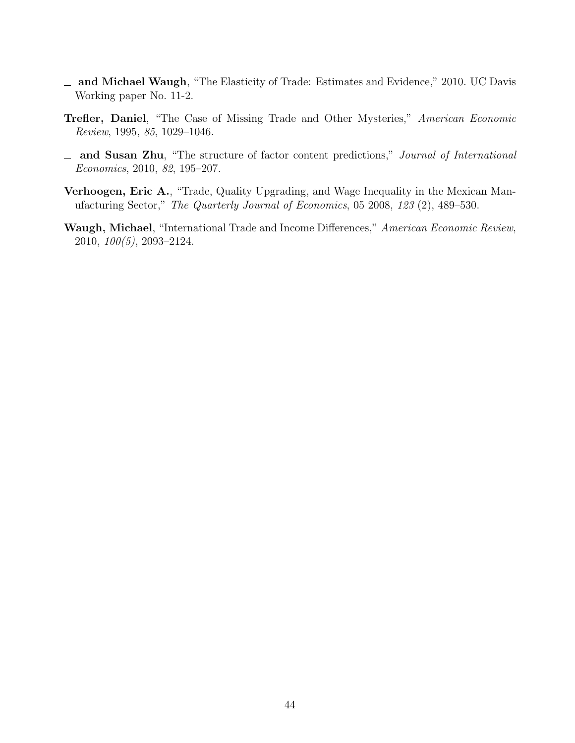- and Michael Waugh, "The Elasticity of Trade: Estimates and Evidence," 2010. UC Davis Working paper No. 11-2.
- Trefler, Daniel, "The Case of Missing Trade and Other Mysteries," American Economic Review, 1995, 85, 1029–1046.
- and Susan Zhu, "The structure of factor content predictions," Journal of International Economics, 2010, 82, 195–207.
- Verhoogen, Eric A., "Trade, Quality Upgrading, and Wage Inequality in the Mexican Manufacturing Sector," The Quarterly Journal of Economics, 05 2008, 123 (2), 489–530.
- Waugh, Michael, "International Trade and Income Differences," American Economic Review, 2010, 100(5), 2093–2124.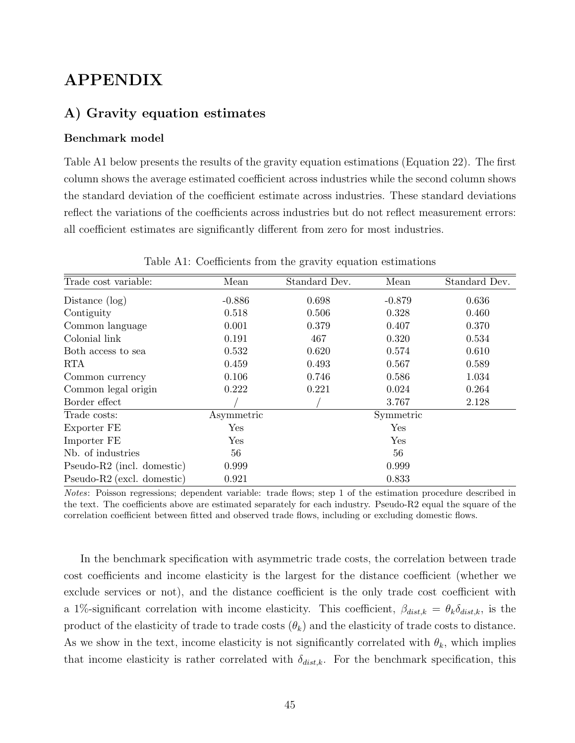# APPENDIX

## A) Gravity equation estimates

### Benchmark model

Table A1 below presents the results of the gravity equation estimations (Equation 22). The first column shows the average estimated coefficient across industries while the second column shows the standard deviation of the coefficient estimate across industries. These standard deviations reflect the variations of the coefficients across industries but do not reflect measurement errors: all coefficient estimates are significantly different from zero for most industries.

| Trade cost variable:       | Mean       | Standard Dev. | Mean        | Standard Dev. |
|----------------------------|------------|---------------|-------------|---------------|
| Distance $(\log)$          | $-0.886$   | 0.698         | $-0.879$    | 0.636         |
| Contiguity                 | 0.518      | 0.506         | 0.328       | 0.460         |
| Common language            | 0.001      | 0.379         | 0.407       | 0.370         |
| Colonial link              | 0.191      | 467           | 0.320       | 0.534         |
| Both access to sea         | 0.532      | 0.620         | 0.574       | 0.610         |
| <b>RTA</b>                 | 0.459      | 0.493         | 0.567       | 0.589         |
| Common currency            | 0.106      | 0.746         | 0.586       | 1.034         |
| Common legal origin        | 0.222      | 0.221         | 0.024       | 0.264         |
| Border effect              |            |               | 3.767       | 2.128         |
| Trade costs:               | Asymmetric |               | Symmetric   |               |
| Exporter FE                | Yes        |               | ${\rm Yes}$ |               |
| Importer FE                | Yes        |               | Yes         |               |
| Nb. of industries          | 56         |               | 56          |               |
| Pseudo-R2 (incl. domestic) | 0.999      |               | 0.999       |               |
| Pseudo-R2 (excl. domestic) | 0.921      |               | 0.833       |               |

Table A1: Coefficients from the gravity equation estimations

Notes: Poisson regressions; dependent variable: trade flows; step 1 of the estimation procedure described in the text. The coefficients above are estimated separately for each industry. Pseudo-R2 equal the square of the correlation coefficient between fitted and observed trade flows, including or excluding domestic flows.

In the benchmark specification with asymmetric trade costs, the correlation between trade cost coefficients and income elasticity is the largest for the distance coefficient (whether we exclude services or not), and the distance coefficient is the only trade cost coefficient with a 1%-significant correlation with income elasticity. This coefficient,  $\beta_{dist,k} = \theta_k \delta_{dist,k}$ , is the product of the elasticity of trade to trade costs  $(\theta_k)$  and the elasticity of trade costs to distance. As we show in the text, income elasticity is not significantly correlated with  $\theta_k$ , which implies that income elasticity is rather correlated with  $\delta_{dist,k}$ . For the benchmark specification, this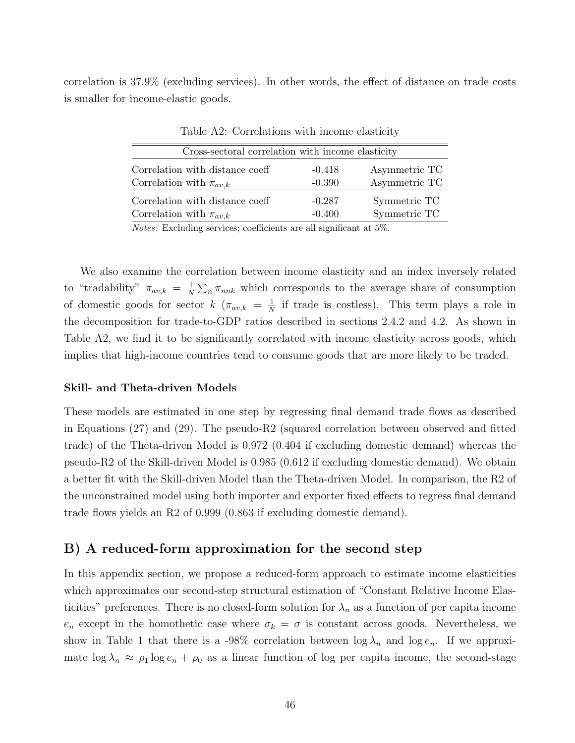correlation is 37.9% (excluding services). In other words, the effect of distance on trade costs is smaller for income-elastic goods.

| Cross-sectoral correlation with income elasticity |          |               |  |  |  |  |
|---------------------------------------------------|----------|---------------|--|--|--|--|
| Correlation with distance coeff                   | $-0.418$ | Asymmetric TC |  |  |  |  |
| Correlation with $\pi_{av,k}$                     | $-0.390$ | Asymmetric TC |  |  |  |  |
| Correlation with distance coeff                   | $-0.287$ | Symmetric TC  |  |  |  |  |
| Correlation with $\pi_{av,k}$                     | $-0.400$ | Symmetric TC  |  |  |  |  |

Table A2: Correlations with income elasticity

Notes: Excluding services; coefficients are all significant at 5%.

We also examine the correlation between income elasticity and an index inversely related to "tradability"  $\pi_{av,k} = \frac{1}{N}$  $\frac{1}{N} \sum_{n} \pi_{nnk}$  which corresponds to the average share of consumption of domestic goods for sector  $k \left( \pi_{av,k} = \frac{1}{N} \right)$  $\frac{1}{N}$  if trade is costless). This term plays a role in the decomposition for trade-to-GDP ratios described in sections 2.4.2 and 4.2. As shown in Table A2, we find it to be significantly correlated with income elasticity across goods, which implies that high-income countries tend to consume goods that are more likely to be traded.

#### Skill- and Theta-driven Models

These models are estimated in one step by regressing final demand trade flows as described in Equations (27) and (29). The pseudo-R2 (squared correlation between observed and fitted trade) of the Theta-driven Model is 0.972 (0.404 if excluding domestic demand) whereas the pseudo-R2 of the Skill-driven Model is 0.985 (0.612 if excluding domestic demand). We obtain a better fit with the Skill-driven Model than the Theta-driven Model. In comparison, the R2 of the unconstrained model using both importer and exporter fixed effects to regress final demand trade flows yields an R2 of 0.999 (0.863 if excluding domestic demand).

## B) A reduced-form approximation for the second step

In this appendix section, we propose a reduced-form approach to estimate income elasticities which approximates our second-step structural estimation of "Constant Relative Income Elasticities" preferences. There is no closed-form solution for  $\lambda_n$  as a function of per capita income  $e_n$  except in the homothetic case where  $\sigma_k = \sigma$  is constant across goods. Nevertheless, we show in Table 1 that there is a -98% correlation between  $\log \lambda_n$  and  $\log e_n$ . If we approximate  $\log \lambda_n \approx \rho_1 \log e_n + \rho_0$  as a linear function of log per capita income, the second-stage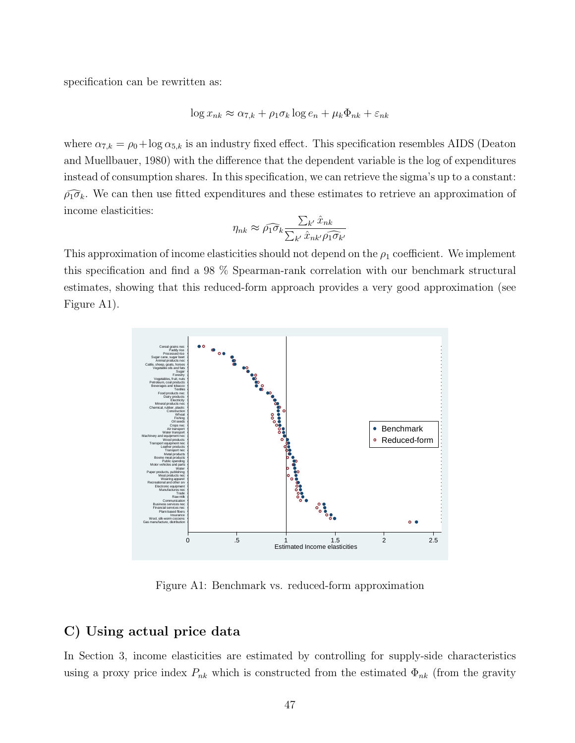specification can be rewritten as:

$$
\log x_{nk} \approx \alpha_{7,k} + \rho_1 \sigma_k \log e_n + \mu_k \Phi_{nk} + \varepsilon_{nk}
$$

where  $\alpha_{7,k} = \rho_0 + \log \alpha_{5,k}$  is an industry fixed effect. This specification resembles AIDS (Deaton and Muellbauer, 1980) with the difference that the dependent variable is the log of expenditures instead of consumption shares. In this specification, we can retrieve the sigma's up to a constant:  $\widehat{\rho_1 \sigma_k}$ . We can then use fitted expenditures and these estimates to retrieve an approximation of income elasticities:

$$
\eta_{nk} \approx \widehat{\rho_1 \sigma_k} \frac{\sum_{k'} \hat{x}_{nk}}{\sum_{k'} \hat{x}_{nk'} \widehat{\rho_1 \sigma_{k'}}}
$$

This approximation of income elasticities should not depend on the  $\rho_1$  coefficient. We implement this specification and find a 98 % Spearman-rank correlation with our benchmark structural estimates, showing that this reduced-form approach provides a very good approximation (see Figure A1).



Figure A1: Benchmark vs. reduced-form approximation

## C) Using actual price data

In Section 3, income elasticities are estimated by controlling for supply-side characteristics using a proxy price index  $P_{nk}$  which is constructed from the estimated  $\Phi_{nk}$  (from the gravity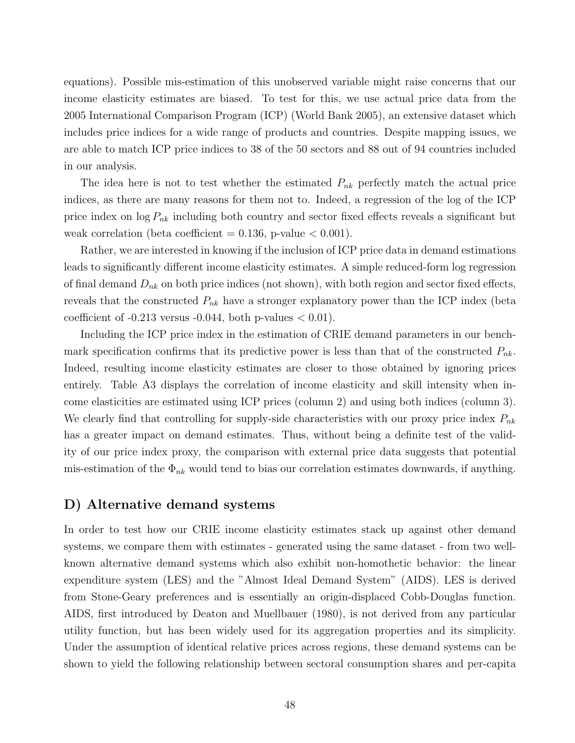equations). Possible mis-estimation of this unobserved variable might raise concerns that our income elasticity estimates are biased. To test for this, we use actual price data from the 2005 International Comparison Program (ICP) (World Bank 2005), an extensive dataset which includes price indices for a wide range of products and countries. Despite mapping issues, we are able to match ICP price indices to 38 of the 50 sectors and 88 out of 94 countries included in our analysis.

The idea here is not to test whether the estimated  $P_{nk}$  perfectly match the actual price indices, as there are many reasons for them not to. Indeed, a regression of the log of the ICP price index on  $\log P_{nk}$  including both country and sector fixed effects reveals a significant but weak correlation (beta coefficient  $= 0.136$ , p-value  $< 0.001$ ).

Rather, we are interested in knowing if the inclusion of ICP price data in demand estimations leads to significantly different income elasticity estimates. A simple reduced-form log regression of final demand  $D_{nk}$  on both price indices (not shown), with both region and sector fixed effects, reveals that the constructed  $P_{nk}$  have a stronger explanatory power than the ICP index (beta coefficient of  $-0.213$  versus  $-0.044$ , both p-values  $< 0.01$ ).

Including the ICP price index in the estimation of CRIE demand parameters in our benchmark specification confirms that its predictive power is less than that of the constructed  $P_{nk}$ . Indeed, resulting income elasticity estimates are closer to those obtained by ignoring prices entirely. Table A3 displays the correlation of income elasticity and skill intensity when income elasticities are estimated using ICP prices (column 2) and using both indices (column 3). We clearly find that controlling for supply-side characteristics with our proxy price index  $P_{nk}$ has a greater impact on demand estimates. Thus, without being a definite test of the validity of our price index proxy, the comparison with external price data suggests that potential mis-estimation of the  $\Phi_{nk}$  would tend to bias our correlation estimates downwards, if anything.

## D) Alternative demand systems

In order to test how our CRIE income elasticity estimates stack up against other demand systems, we compare them with estimates - generated using the same dataset - from two wellknown alternative demand systems which also exhibit non-homothetic behavior: the linear expenditure system (LES) and the "Almost Ideal Demand System" (AIDS). LES is derived from Stone-Geary preferences and is essentially an origin-displaced Cobb-Douglas function. AIDS, first introduced by Deaton and Muellbauer (1980), is not derived from any particular utility function, but has been widely used for its aggregation properties and its simplicity. Under the assumption of identical relative prices across regions, these demand systems can be shown to yield the following relationship between sectoral consumption shares and per-capita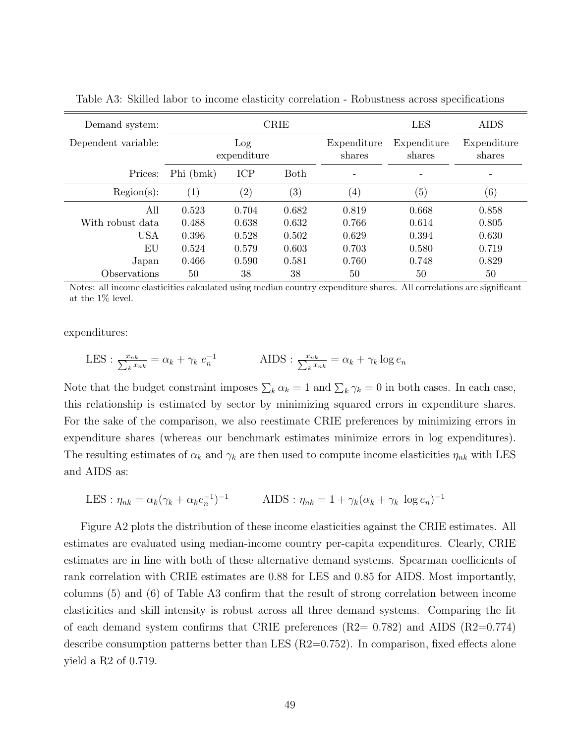| Demand system:      | <b>CRIE</b> |                    |                   |                       | <b>LES</b>            | <b>AIDS</b>           |
|---------------------|-------------|--------------------|-------------------|-----------------------|-----------------------|-----------------------|
| Dependent variable: |             | Log<br>expenditure |                   | Expenditure<br>shares | Expenditure<br>shares | Expenditure<br>shares |
| Prices:             | Phi (bmk)   | ICP                | <b>Both</b>       |                       |                       |                       |
| Region(s):          | (1)         | $\left( 2\right)$  | $\left( 3\right)$ | $\left( 4\right)$     | $\left( 5\right)$     | (6)                   |
| All                 | 0.523       | 0.704              | 0.682             | 0.819                 | 0.668                 | 0.858                 |
| With robust data    | 0.488       | 0.638              | 0.632             | 0.766                 | 0.614                 | 0.805                 |
| USA                 | 0.396       | 0.528              | 0.502             | 0.629                 | 0.394                 | 0.630                 |
| ΕU                  | 0.524       | 0.579              | 0.603             | 0.703                 | 0.580                 | 0.719                 |
| Japan               | 0.466       | 0.590              | 0.581             | 0.760                 | 0.748                 | 0.829                 |
| Observations        | 50          | 38                 | 38                | 50                    | 50                    | 50                    |

Table A3: Skilled labor to income elasticity correlation - Robustness across specifications

Notes: all income elasticities calculated using median country expenditure shares. All correlations are significant at the 1% level.

expenditures:

$$
LES : \frac{x_{nk}}{\sum_{k} x_{nk}} = \alpha_k + \gamma_k e_n^{-1}
$$
 
$$
AIDS : \frac{x_{nk}}{\sum_{k} x_{nk}} = \alpha_k + \gamma_k \log e_n
$$

Note that the budget constraint imposes  $\sum_k \alpha_k = 1$  and  $\sum_k \gamma_k = 0$  in both cases. In each case, this relationship is estimated by sector by minimizing squared errors in expenditure shares. For the sake of the comparison, we also reestimate CRIE preferences by minimizing errors in expenditure shares (whereas our benchmark estimates minimize errors in log expenditures). The resulting estimates of  $\alpha_k$  and  $\gamma_k$  are then used to compute income elasticities  $\eta_{nk}$  with LES and AIDS as:

$$
LES : \eta_{nk} = \alpha_k (\gamma_k + \alpha_k e_n^{-1})^{-1}
$$
 
$$
AIDS : \eta_{nk} = 1 + \gamma_k (\alpha_k + \gamma_k \log e_n)^{-1}
$$

Figure A2 plots the distribution of these income elasticities against the CRIE estimates. All estimates are evaluated using median-income country per-capita expenditures. Clearly, CRIE estimates are in line with both of these alternative demand systems. Spearman coefficients of rank correlation with CRIE estimates are 0.88 for LES and 0.85 for AIDS. Most importantly, columns (5) and (6) of Table A3 confirm that the result of strong correlation between income elasticities and skill intensity is robust across all three demand systems. Comparing the fit of each demand system confirms that CRIE preferences  $(R2= 0.782)$  and AIDS  $(R2=0.774)$ describe consumption patterns better than LES (R2=0.752). In comparison, fixed effects alone yield a R2 of 0.719.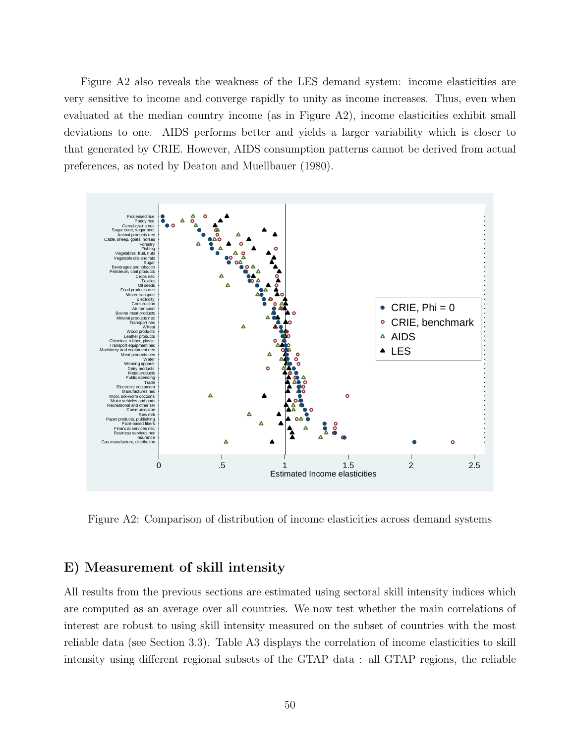Figure A2 also reveals the weakness of the LES demand system: income elasticities are very sensitive to income and converge rapidly to unity as income increases. Thus, even when evaluated at the median country income (as in Figure A2), income elasticities exhibit small deviations to one. AIDS performs better and yields a larger variability which is closer to that generated by CRIE. However, AIDS consumption patterns cannot be derived from actual preferences, as noted by Deaton and Muellbauer (1980).



Figure A2: Comparison of distribution of income elasticities across demand systems

## E) Measurement of skill intensity

All results from the previous sections are estimated using sectoral skill intensity indices which are computed as an average over all countries. We now test whether the main correlations of interest are robust to using skill intensity measured on the subset of countries with the most reliable data (see Section 3.3). Table A3 displays the correlation of income elasticities to skill intensity using different regional subsets of the GTAP data : all GTAP regions, the reliable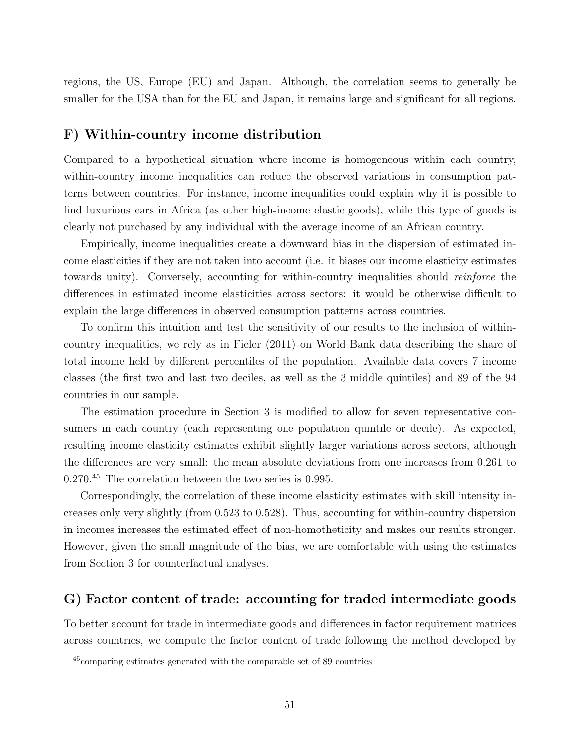regions, the US, Europe (EU) and Japan. Although, the correlation seems to generally be smaller for the USA than for the EU and Japan, it remains large and significant for all regions.

## F) Within-country income distribution

Compared to a hypothetical situation where income is homogeneous within each country, within-country income inequalities can reduce the observed variations in consumption patterns between countries. For instance, income inequalities could explain why it is possible to find luxurious cars in Africa (as other high-income elastic goods), while this type of goods is clearly not purchased by any individual with the average income of an African country.

Empirically, income inequalities create a downward bias in the dispersion of estimated income elasticities if they are not taken into account (i.e. it biases our income elasticity estimates towards unity). Conversely, accounting for within-country inequalities should reinforce the differences in estimated income elasticities across sectors: it would be otherwise difficult to explain the large differences in observed consumption patterns across countries.

To confirm this intuition and test the sensitivity of our results to the inclusion of withincountry inequalities, we rely as in Fieler (2011) on World Bank data describing the share of total income held by different percentiles of the population. Available data covers 7 income classes (the first two and last two deciles, as well as the 3 middle quintiles) and 89 of the 94 countries in our sample.

The estimation procedure in Section 3 is modified to allow for seven representative consumers in each country (each representing one population quintile or decile). As expected, resulting income elasticity estimates exhibit slightly larger variations across sectors, although the differences are very small: the mean absolute deviations from one increases from 0.261 to 0.270.<sup>45</sup> The correlation between the two series is 0.995.

Correspondingly, the correlation of these income elasticity estimates with skill intensity increases only very slightly (from 0.523 to 0.528). Thus, accounting for within-country dispersion in incomes increases the estimated effect of non-homotheticity and makes our results stronger. However, given the small magnitude of the bias, we are comfortable with using the estimates from Section 3 for counterfactual analyses.

## G) Factor content of trade: accounting for traded intermediate goods

To better account for trade in intermediate goods and differences in factor requirement matrices across countries, we compute the factor content of trade following the method developed by

<sup>45</sup>comparing estimates generated with the comparable set of 89 countries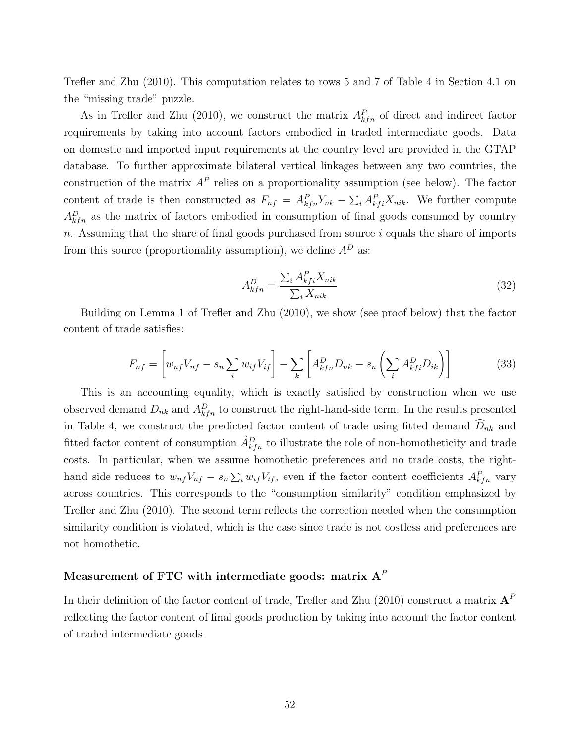Trefler and Zhu (2010). This computation relates to rows 5 and 7 of Table 4 in Section 4.1 on the "missing trade" puzzle.

As in Trefler and Zhu (2010), we construct the matrix  $A_{kfn}^P$  of direct and indirect factor requirements by taking into account factors embodied in traded intermediate goods. Data on domestic and imported input requirements at the country level are provided in the GTAP database. To further approximate bilateral vertical linkages between any two countries, the construction of the matrix  $A^P$  relies on a proportionality assumption (see below). The factor content of trade is then constructed as  $F_{nf} = A_{kfn}^P Y_{nk} - \sum_i A_{kfi}^P X_{nik}$ . We further compute  $A_{kfn}^D$  as the matrix of factors embodied in consumption of final goods consumed by country  $n.$  Assuming that the share of final goods purchased from source  $i$  equals the share of imports from this source (proportionality assumption), we define  $A^D$  as:

$$
A_{kfn}^D = \frac{\sum_i A_{kfi}^P X_{nik}}{\sum_i X_{nik}}\tag{32}
$$

Building on Lemma 1 of Trefler and Zhu (2010), we show (see proof below) that the factor content of trade satisfies:

$$
F_{nf} = \left[ w_{nf} V_{nf} - s_n \sum_i w_{if} V_{if} \right] - \sum_k \left[ A_{kfn}^D D_{nk} - s_n \left( \sum_i A_{kfi}^D D_{ik} \right) \right]
$$
(33)

This is an accounting equality, which is exactly satisfied by construction when we use observed demand  $D_{nk}$  and  $A_{kfn}^D$  to construct the right-hand-side term. In the results presented in Table 4, we construct the predicted factor content of trade using fitted demand  $\widehat{D}_{nk}$  and fitted factor content of consumption  $\hat{A}_{kfn}^D$  to illustrate the role of non-homotheticity and trade costs. In particular, when we assume homothetic preferences and no trade costs, the righthand side reduces to  $w_{nf}V_{nf} - s_n \sum_i w_{if}V_{if}$ , even if the factor content coefficients  $A_{kfn}^P$  vary across countries. This corresponds to the "consumption similarity" condition emphasized by Trefler and Zhu (2010). The second term reflects the correction needed when the consumption similarity condition is violated, which is the case since trade is not costless and preferences are not homothetic.

# Measurement of FTC with intermediate goods: matrix  $\boldsymbol{\mathbf{A}}^P$

In their definition of the factor content of trade, Trefler and Zhu (2010) construct a matrix  $\textbf{A}^{P}$ reflecting the factor content of final goods production by taking into account the factor content of traded intermediate goods.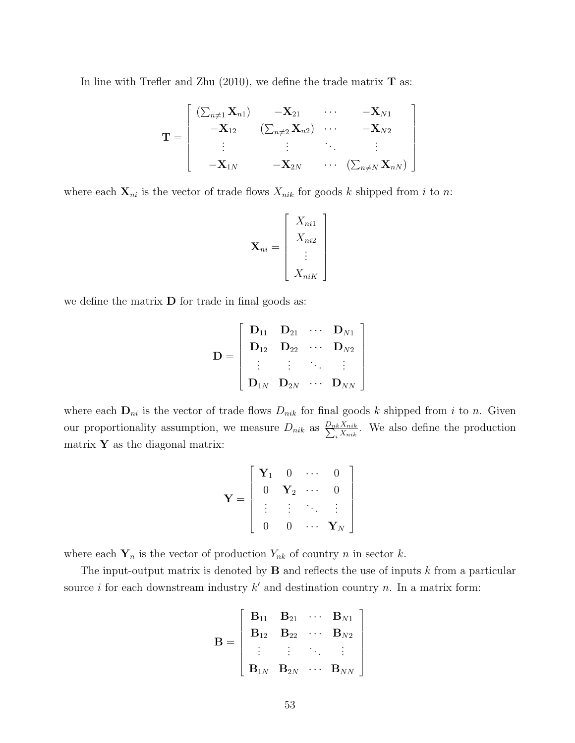In line with Trefler and Zhu  $(2010)$ , we define the trade matrix **T** as:

$$
\mathbf{T} = \begin{bmatrix} (\sum_{n \neq 1} \mathbf{X}_{n1}) & -\mathbf{X}_{21} & \cdots & -\mathbf{X}_{N1} \\ -\mathbf{X}_{12} & (\sum_{n \neq 2} \mathbf{X}_{n2}) & \cdots & -\mathbf{X}_{N2} \\ \vdots & \vdots & \ddots & \vdots \\ -\mathbf{X}_{1N} & -\mathbf{X}_{2N} & \cdots & (\sum_{n \neq N} \mathbf{X}_{nN}) \end{bmatrix}
$$

where each  $\mathbf{X}_{ni}$  is the vector of trade flows  $X_{nik}$  for goods k shipped from i to n:

$$
\mathbf{X}_{ni} = \begin{bmatrix} X_{ni1} \\ X_{ni2} \\ \vdots \\ X_{niK} \end{bmatrix}
$$

we define the matrix  $\bf{D}$  for trade in final goods as:

$$
\mathbf{D} = \left[ \begin{array}{cccc} \mathbf{D}_{11} & \mathbf{D}_{21} & \cdots & \mathbf{D}_{N1} \\ \mathbf{D}_{12} & \mathbf{D}_{22} & \cdots & \mathbf{D}_{N2} \\ \vdots & \vdots & \ddots & \vdots \\ \mathbf{D}_{1N} & \mathbf{D}_{2N} & \cdots & \mathbf{D}_{NN} \end{array} \right]
$$

where each  $\mathbf{D}_{ni}$  is the vector of trade flows  $D_{nik}$  for final goods k shipped from i to n. Given our proportionality assumption, we measure  $D_{nik}$  as  $\frac{D_{nk}X_{nik}}{\sum_i X_{nik}}$ . We also define the production matrix  $\mathbf Y$  as the diagonal matrix:

$$
\mathbf{Y} = \left[ \begin{array}{cccc} \mathbf{Y}_1 & 0 & \cdots & 0 \\ 0 & \mathbf{Y}_2 & \cdots & 0 \\ \vdots & \vdots & \ddots & \vdots \\ 0 & 0 & \cdots & \mathbf{Y}_N \end{array} \right]
$$

where each  $Y_n$  is the vector of production  $Y_{nk}$  of country n in sector k.

The input-output matrix is denoted by  $\bf{B}$  and reflects the use of inputs k from a particular source i for each downstream industry  $k'$  and destination country n. In a matrix form:

$$
\mathbf{B} = \left[ \begin{array}{cccc} \mathbf{B}_{11} & \mathbf{B}_{21} & \cdots & \mathbf{B}_{N1} \\ \mathbf{B}_{12} & \mathbf{B}_{22} & \cdots & \mathbf{B}_{N2} \\ \vdots & \vdots & \ddots & \vdots \\ \mathbf{B}_{1N} & \mathbf{B}_{2N} & \cdots & \mathbf{B}_{NN} \end{array} \right]
$$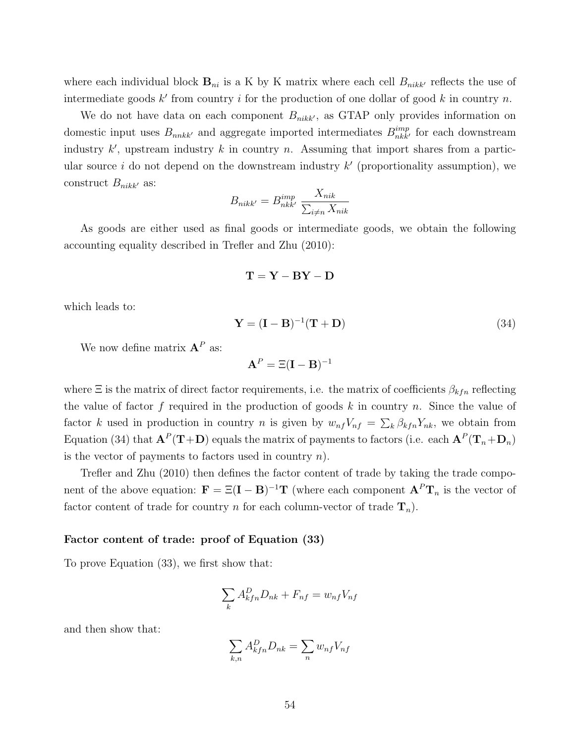where each individual block  $B_{ni}$  is a K by K matrix where each cell  $B_{nikk'}$  reflects the use of intermediate goods  $k'$  from country i for the production of one dollar of good k in country n.

We do not have data on each component  $B_{nikk}$ , as GTAP only provides information on domestic input uses  $B_{nnkk'}$  and aggregate imported intermediates  $B_{nkk'}^{imp}$  for each downstream industry  $k'$ , upstream industry k in country n. Assuming that import shares from a particular source  $i$  do not depend on the downstream industry  $k'$  (proportionality assumption), we construct  $B_{nikk'}$  as:

$$
B_{nikk'} = B_{nkk'}^{imp} \frac{X_{nik}}{\sum_{i \neq n} X_{nik}}
$$

As goods are either used as final goods or intermediate goods, we obtain the following accounting equality described in Trefler and Zhu (2010):

$$
\mathbf{T} = \mathbf{Y} - \mathbf{B}\mathbf{Y} - \mathbf{D}
$$

which leads to:

$$
\mathbf{Y} = (\mathbf{I} - \mathbf{B})^{-1}(\mathbf{T} + \mathbf{D})
$$
\n(34)

We now define matrix  $A^P$  as:

$$
\mathbf{A}^P = \Xi(\mathbf{I}-\mathbf{B})^{-1}
$$

where  $\Xi$  is the matrix of direct factor requirements, i.e. the matrix of coefficients  $\beta_{kfn}$  reflecting the value of factor  $f$  required in the production of goods  $k$  in country  $n$ . Since the value of factor k used in production in country n is given by  $w_{nf}V_{nf} = \sum_{k} \beta_{kfn} Y_{nk}$ , we obtain from Equation (34) that  $\mathbf{A}^P(\mathbf{T}+\mathbf{D})$  equals the matrix of payments to factors (i.e. each  $\mathbf{A}^P(\mathbf{T}_n+\mathbf{D}_n)$ is the vector of payments to factors used in country  $n$ ).

Trefler and Zhu (2010) then defines the factor content of trade by taking the trade component of the above equation:  $\mathbf{F} = \Xi(\mathbf{I} - \mathbf{B})^{-1}\mathbf{T}$  (where each component  $\mathbf{A}^P\mathbf{T}_n$  is the vector of factor content of trade for country n for each column-vector of trade  $\mathbf{T}_n$ ).

#### Factor content of trade: proof of Equation (33)

To prove Equation (33), we first show that:

$$
\sum_{k} A_{kfn}^D D_{nk} + F_{nf} = w_{nf} V_{nf}
$$

and then show that:

$$
\sum_{k,n} A_{kfn}^D D_{nk} = \sum_n w_{nf} V_{nf}
$$